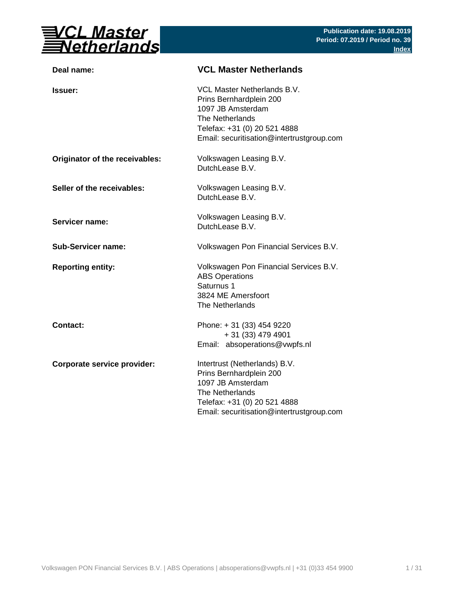

| Deal name:                         | <b>VCL Master Netherlands</b>                                                                                                                                                      |  |  |  |  |
|------------------------------------|------------------------------------------------------------------------------------------------------------------------------------------------------------------------------------|--|--|--|--|
| <b>Issuer:</b>                     | <b>VCL Master Netherlands B.V.</b><br>Prins Bernhardplein 200<br>1097 JB Amsterdam<br>The Netherlands<br>Telefax: +31 (0) 20 521 4888<br>Email: securitisation@intertrustgroup.com |  |  |  |  |
| Originator of the receivables:     | Volkswagen Leasing B.V.<br>DutchLease B.V.                                                                                                                                         |  |  |  |  |
| Seller of the receivables:         | Volkswagen Leasing B.V.<br>DutchLease B.V.                                                                                                                                         |  |  |  |  |
| <b>Servicer name:</b>              | Volkswagen Leasing B.V.<br>DutchLease B.V.                                                                                                                                         |  |  |  |  |
| <b>Sub-Servicer name:</b>          | Volkswagen Pon Financial Services B.V.                                                                                                                                             |  |  |  |  |
| <b>Reporting entity:</b>           | Volkswagen Pon Financial Services B.V.<br><b>ABS Operations</b><br>Saturnus 1<br>3824 ME Amersfoort<br>The Netherlands                                                             |  |  |  |  |
| <b>Contact:</b>                    | Phone: +31 (33) 454 9220<br>$+31(33)$ 479 4901<br>Email: absoperations@vwpfs.nl                                                                                                    |  |  |  |  |
| <b>Corporate service provider:</b> | Intertrust (Netherlands) B.V.<br>Prins Bernhardplein 200<br>1097 JB Amsterdam<br>The Netherlands<br>Telefax: +31 (0) 20 521 4888<br>Email: securitisation@intertrustgroup.com      |  |  |  |  |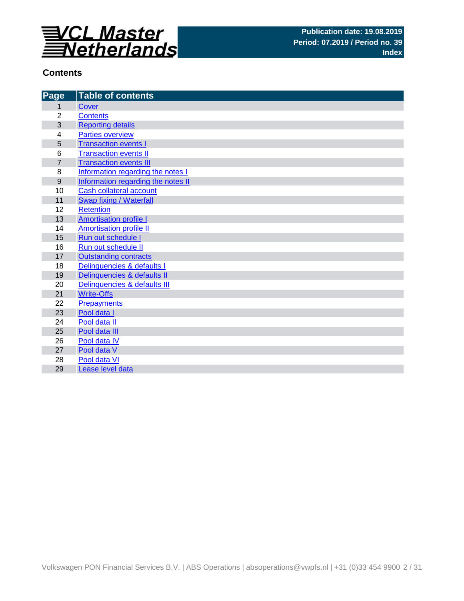

#### **Contents**

| Page           | <b>Table of contents</b>           |
|----------------|------------------------------------|
| 1              | Cover                              |
| $\overline{2}$ | <b>Contents</b>                    |
| 3              | <b>Reporting details</b>           |
| 4              | <b>Parties overview</b>            |
| 5              | <b>Transaction events I</b>        |
| 6              | <b>Transaction events II</b>       |
| $\overline{7}$ | <b>Transaction events III</b>      |
| 8              | Information regarding the notes I  |
| 9              | Information regarding the notes II |
| 10             | Cash collateral account            |
| 11             | Swap fixing / Waterfall            |
| 12             | <b>Retention</b>                   |
| 13             | <b>Amortisation profile I</b>      |
| 14             | <b>Amortisation profile II</b>     |
| 15             | Run out schedule I                 |
| 16             | Run out schedule II                |
| 17             | <b>Outstanding contracts</b>       |
| 18             | Delinquencies & defaults I         |
| 19             | Delinquencies & defaults II        |
| 20             | Delinquencies & defaults III       |
| 21             | <b>Write-Offs</b>                  |
| 22             | <b>Prepayments</b>                 |
| 23             | Pool data I                        |
| 24             | Pool data II                       |
| 25             | Pool data III                      |
| 26             | Pool data IV                       |
| 27             | Pool data V                        |
| 28             | Pool data VI                       |
| 29             | Lease level data                   |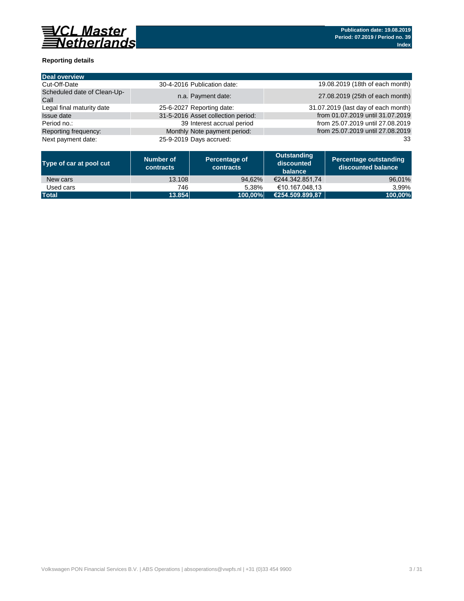

## **Reporting details**

| 30-4-2016 Publication date:        | 19.08.2019 (18th of each month)     |
|------------------------------------|-------------------------------------|
| n.a. Payment date:                 | 27.08.2019 (25th of each month)     |
| 25-6-2027 Reporting date:          | 31.07.2019 (last day of each month) |
| 31-5-2016 Asset collection period: | from 01.07.2019 until 31.07.2019    |
| 39 Interest accrual period         | from 25.07.2019 until 27.08.2019    |
| Monthly Note payment period:       | from 25.07.2019 until 27.08.2019    |
| 25-9-2019 Days accrued:            | 33                                  |
|                                    |                                     |

| Type of car at pool cut | <b>Number of</b><br><b>contracts</b> | Percentage of<br><b>contracts</b> | <b>Outstanding</b><br>discounted<br>balance | Percentage outstanding<br>discounted balance |
|-------------------------|--------------------------------------|-----------------------------------|---------------------------------------------|----------------------------------------------|
| New cars                | 13.108                               | 94,62%                            | €244.342.851,74                             | 96,01%                                       |
| Used cars               | 746                                  | 5.38%                             | €10.167.048,13                              | 3,99%                                        |
| <b>Total</b>            | 13.854                               | 100,00%                           | €254.509.899,87                             | 100,00%                                      |

Volkswagen PON Financial Services B.V. | ABS Operations | absoperations@vwpfs.nl | +31 (0)33 454 9900 3 / 31 31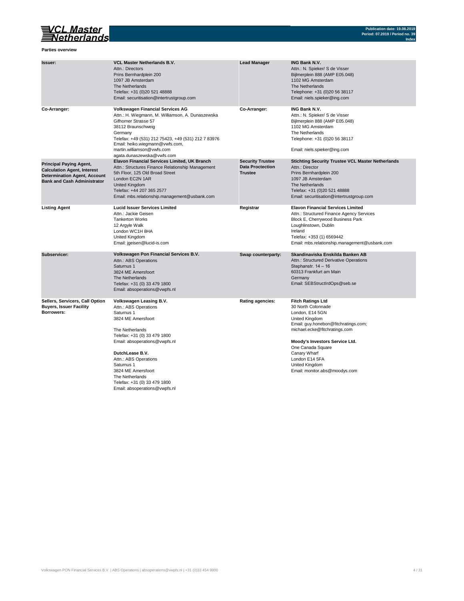

#### **Parties overview**

Telefax: +31 (0) 33 479 1800 Email: absoperations@vwpfs.nl **Moody's Investors Service Ltd. Moody's Investors Service Ltd.** 

One Canada Square Email: monitor.abs@moodys.com

| <b>Issuer:</b>                                                                                                                                    | <b>VCL Master Netherlands B.V.</b><br><b>Attn.: Directors</b><br>Prins Bernhardplein 200<br>1097 JB Amsterdam<br>The Netherlands<br>Telefax: +31 (0)20 521 48888<br>Email: securitisation@intertrustgroup.com                                                                                                      | <b>Lead Manager</b>                                                  | <b>ING Bank N.V.</b><br>Attn.: N. Spieker/ S de Visser<br>Bijlmerplein 888 (AMP E05.048)<br>1102 MG Amsterdam<br>The Netherlands<br>Telephone: +31 (0)20 56 38117<br>Email: niels.spieker@ing.com                                                   |
|---------------------------------------------------------------------------------------------------------------------------------------------------|--------------------------------------------------------------------------------------------------------------------------------------------------------------------------------------------------------------------------------------------------------------------------------------------------------------------|----------------------------------------------------------------------|-----------------------------------------------------------------------------------------------------------------------------------------------------------------------------------------------------------------------------------------------------|
| Co-Arranger:                                                                                                                                      | <b>Volkswagen Financial Services AG</b><br>Attn.: H. Wiegmann, M. Williamson, A. Dunaszewska<br><b>Gifhorner Strasse 57</b><br>38112 Braunschweig<br>Germany<br>Telefax: +49 (531) 212 75423, +49 (531) 212 7 83976<br>Email: heiko.wiegmann@vwfs.com,<br>martin.williamson@vwfs.com<br>agata.dunaszewska@vwfs.com | Co-Arranger:                                                         | <b>ING Bank N.V.</b><br>Attn.: N. Spieker/ S de Visser<br>Bijlmerplein 888 (AMP E05.048)<br>1102 MG Amsterdam<br>The Netherlands<br>Telephone: +31 (0)20 56 38117<br>Email: niels.spieker@ing.com                                                   |
| <b>Principal Paying Agent,</b><br><b>Calculation Agent, Interest</b><br><b>Determination Agent, Account</b><br><b>Bank and Cash Administrator</b> | <b>Elavon Financial Services Limited, UK Branch</b><br>Attn.: Structures Finance Relationship Management<br>5th Floor, 125 Old Broad Street<br>London EC2N 1AR<br><b>United Kingdom</b><br>Telefax: +44 207 365 2577<br>Email: mbs.relationship.management@usbank.com                                              | <b>Security Trustee</b><br><b>Data Proctection</b><br><b>Trustee</b> | <b>Stichting Security Trustee VCL Master Netherlands</b><br>Attn.: Director<br>Prins Bernhardplein 200<br>1097 JB Amsterdam<br>The Netherlands<br>Telefax: +31 (0)20 521 48888<br>Email: securitisation@intertrustgroup.com                         |
| <b>Listing Agent</b>                                                                                                                              | <b>Lucid Issuer Services Limited</b><br>Attn.: Jackie Geisen<br><b>Tankerton Works</b><br>12 Argyle Walk<br>London WC1H 8HA<br><b>United Kingdom</b><br>Email: jgeisen@lucid-is.com                                                                                                                                | <b>Registrar</b>                                                     | <b>Elavon Financial Services Limited</b><br>Attn.: Structured Finance Agency Services<br><b>Block E, Cherrywood Business Park</b><br>Loughlinstown, Dublin<br>Ireland<br>Telefax: +353 (1) 6569442<br>Email: mbs.relationship.management@usbank.com |
| <b>Subservicer:</b>                                                                                                                               | <b>Volkswagen Pon Financial Services B.V.</b><br>Attn.: ABS Operations<br>Saturnus 1<br>3824 ME Amersfoort<br><b>The Netherlands</b><br>Telefax: +31 (0) 33 479 1800<br>Email: absoperations@vwpfs.nl                                                                                                              | <b>Swap counterparty:</b>                                            | Skandinaviska Enskilda Banken AB<br><b>Attn.: Structured Derivative Operations</b><br>Stephanstr. $14 - 16$<br>60313 Frankfurt am Main<br>Germany<br>Email: SEBStructIrdOps@seb.se                                                                  |
| <b>Sellers, Servicers, Call Option</b><br><b>Buyers, Issuer Facility</b><br><b>Borrowers:</b>                                                     | <b>Volkswagen Leasing B.V.</b><br>Attn.: ABS Operations<br>Saturnus 1<br>3824 ME Amersfoort<br>The Netherlands                                                                                                                                                                                                     | <b>Rating agencies:</b>                                              | <b>Fitch Ratings Ltd</b><br>30 North Colonnade<br>London, E14 5GN<br><b>United Kingdom</b><br>Email: guy.honebon@fitchratings.com;<br>michael.ecke@fitchratings.com                                                                                 |

**DutchLease B.V.** Canary Wharf Attn.: ABS Operations Saturnus 1 United Kingdom The Netherlands Telefax: +31 (0) 33 479 1800 Email: absoperations@vwpfs.nl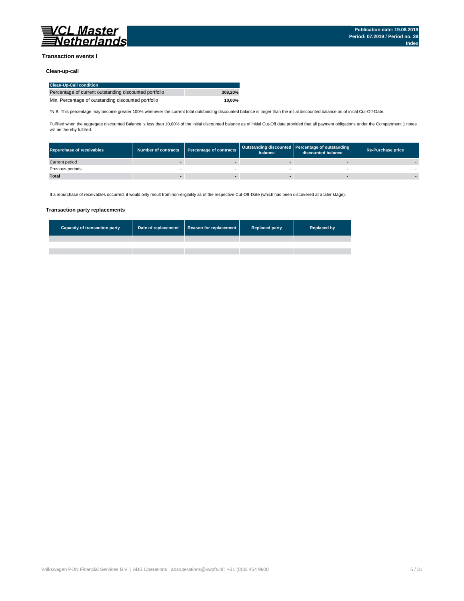

#### **Transaction events I**

#### **Clean-up-call**

| <b>Repurchase of receivables</b> | <b>Number of contracts</b> | Percentage of contracts | balance | Outstanding discounted Percentage of outstanding<br>discounted balance | <b>Re-Purchase price</b> |
|----------------------------------|----------------------------|-------------------------|---------|------------------------------------------------------------------------|--------------------------|
| Current period                   |                            |                         |         |                                                                        |                          |
| Previous periods                 |                            |                         |         |                                                                        |                          |
| <b>Total</b>                     |                            |                         |         |                                                                        |                          |

#### **Transaction party replacements**

| Capacity of transaction party | Date of replacement | Reason for replacement | <b>Replaced party</b> | <b>Replaced by</b> |
|-------------------------------|---------------------|------------------------|-----------------------|--------------------|
|                               |                     |                        |                       |                    |
|                               |                     |                        |                       |                    |
|                               |                     |                        |                       |                    |

Volkswagen PON Financial Services B.V. | ABS Operations | absoperations@vwpfs.nl | +31 (0)33 454 9900 5 / 31 5 / 31

| <b>Clean-Up-Call condition</b>                         |         |
|--------------------------------------------------------|---------|
| Percentage of current outstanding discounted portfolio | 308.20% |
| Min. Percentage of outstanding discounted portfolio    | 10.00%  |

If a repurchase of receivables occurred, it would only result from non-eligibility as of the respective Cut-Off-Date (which has been discovered at a later stage).

\*N.B. This percentage may become greater 100% whenever the current total outstanding discounted balance is larger than the initial discounted balance as of initial Cut-Off-Date.

Fulfilled when the aggregate discounted Balance is less than 10,00% of the initial discounted balance as of initial Cut-Off date provided that all payment obligations under the Compartment 1 notes will be thereby fulfilled.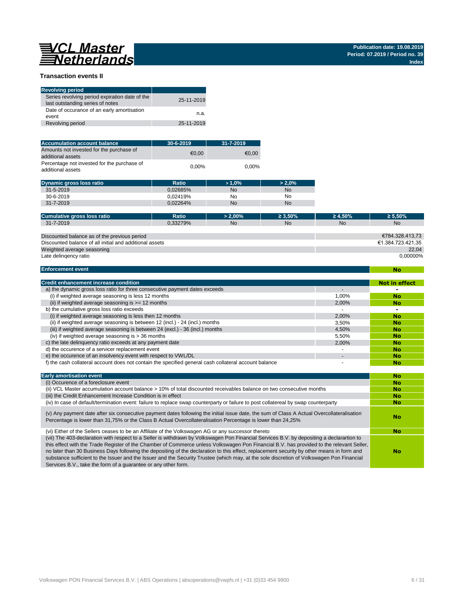# **WARGINAL Master**

#### **Transaction events II**

| <b>Revolving period</b>                                                            |            |
|------------------------------------------------------------------------------------|------------|
| Series revolving period expiration date of the<br>last outstanding series of notes | 25-11-2019 |
| Date of occurance of an early amortisation<br>event                                | n.a.       |
| Revolving period                                                                   | 25-11-2019 |

| <b>Accumulation account balance</b>                              | $30 - 6 - 2019$ | $31 - 7 - 2019$ |
|------------------------------------------------------------------|-----------------|-----------------|
| Amounts not invested for the purchase of<br>additional assets    | €0.00           | €0.00           |
| Percentage not invested for the purchase of<br>additional assets | $0.00\%$        | $0.00\%$        |

| <b>Dynamic gross loss ratio</b> | <b>Ratio</b> | $>1.0\%$  | $> 2.0\%$ |
|---------------------------------|--------------|-----------|-----------|
| $31 - 5 - 2019$                 | 0.02685%     | <b>No</b> | <b>No</b> |
| $30 - 6 - 2019$                 | 0.02419%     | No        | No        |
| 31-7-2019                       | 0.02264%     | <b>No</b> | No        |

| <b>Cumulative gross loss ratio</b> | Ratio                          | $2.00\%$ | 50%       | 4,50% | $5.50\%$  |
|------------------------------------|--------------------------------|----------|-----------|-------|-----------|
| $-2019$<br>$31 - 7 -$              | <sup>מחדריכי</sup> נ<br>321YY0 | No.      | <b>NC</b> | No    | <b>No</b> |

**No**

Services B.V., take the form of a guarantee or any other form.

| <b>Early amortisation event</b>                                                                                                                                                                                                                                                                                                                                                                                                                                                                                                                                                  | <b>No</b> |
|----------------------------------------------------------------------------------------------------------------------------------------------------------------------------------------------------------------------------------------------------------------------------------------------------------------------------------------------------------------------------------------------------------------------------------------------------------------------------------------------------------------------------------------------------------------------------------|-----------|
| (i) Occurence of a foreclosure event                                                                                                                                                                                                                                                                                                                                                                                                                                                                                                                                             | <b>No</b> |
| (ii) VCL Master accumulation account balance > 10% of total discounted receivables balance on two consecutive months                                                                                                                                                                                                                                                                                                                                                                                                                                                             | <b>No</b> |
| (iii) the Credit Enhancement Increase Condition is in effect                                                                                                                                                                                                                                                                                                                                                                                                                                                                                                                     | <b>No</b> |
| (iv) In case of default/termination event: failure to replace swap counterparty or failure to post collatereal by swap counterparty                                                                                                                                                                                                                                                                                                                                                                                                                                              | <b>No</b> |
| (v) Any payment date after six consecutive payment dates following the initial issue date, the sum of Class A Actual Overcollateralisation<br>Percentage is lower than 31,75% or the Class B Actual Overcollateralisation Percentage is lower than 24,25%                                                                                                                                                                                                                                                                                                                        | No        |
| (vi) Either of the Sellers ceases to be an Affiliate of the Volkswagen AG or any successor thereto                                                                                                                                                                                                                                                                                                                                                                                                                                                                               | <b>No</b> |
| (vii) The 403-declaration with respect to a Seller is withdrawn by Volkswagen Pon Financial Services B.V. by depositing a declarartion to<br>this effect with the Trade Register of the Chamber of Commerce unless Volkswagen Pon Financial B.V. has provided to the relevant Seller,<br>no later than 30 Business Days following the depositing of the declaration to this effect, replacement security by other means in form and<br>substance sufficient to the Issuer and the Issuer and the Security Trustee (which may, at the sole discretion of Volkswagen Pon Financial | No        |

Volkswagen PON Financial Services B.V. | ABS Operations | absoperations@vwpfs.nl | +31 (0)33 454 9900 6 / 31

| <b>Credit enhancement increase condition</b>                                                          |       | <b>Not in effect</b> |
|-------------------------------------------------------------------------------------------------------|-------|----------------------|
| a) the dynamic gross loss ratio for three consecutive payment dates exceeds                           |       |                      |
| (i) if weighted average seasoning is less 12 months                                                   | 1,00% | <b>No</b>            |
| (ii) if weighted average seasoning is $\ge$ = 12 months                                               | 2,00% | <b>No</b>            |
| b) the cumulative gross loss ratio exceeds                                                            |       |                      |
| (i) if weighted average seasoning is less then 12 months                                              | 2.00% | <b>No</b>            |
| (ii) if weighted average seasoning is between 12 (incl.) - 24 (incl.) months                          | 3,50% | <b>No</b>            |
| (iii) if weighted average seasoning is between 24 (excl.) - 36 (incl.) months                         | 4,50% | <b>No</b>            |
| (iv) if weighted average seasoning is $>$ 36 months                                                   | 5,50% | <b>No</b>            |
| c) the late delinquency ratio exceeds at any payment date                                             | 2,00% | <b>No</b>            |
| d) the occurence of a servicer replacement event                                                      |       | <b>No</b>            |
| e) the occurence of an insolvency event with respect to VWL/DL                                        |       | <b>No</b>            |
| f) the cash collateral account does not contain the specified general cash collateral account balance |       | <b>No</b>            |

| Discounted balance as of the previous period            | €784.328.413,73   |
|---------------------------------------------------------|-------------------|
| Discounted balance of all initial and additional assets | €1.384.723.421.35 |
| Weighted average seasoning                              | 22.04             |
| Late delingency ratio                                   | $0.00000\%$       |

#### **Enforcement event**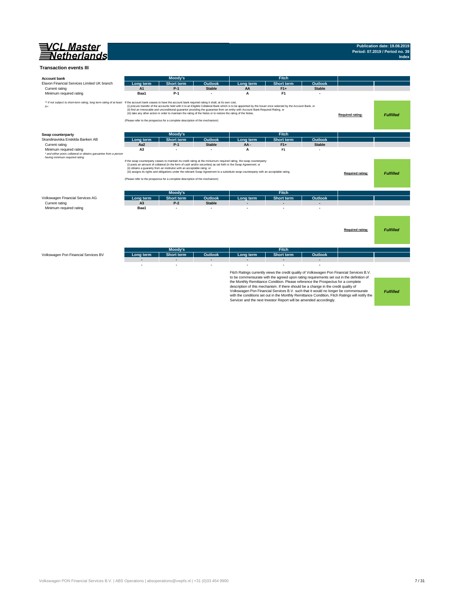

#### **Transaction events III**

|           | <b>THOOGY</b>                   |                |           | .          |         |  |
|-----------|---------------------------------|----------------|-----------|------------|---------|--|
| Long term | <b>Short</b><br><b>Ext term</b> | <b>Outlook</b> | Long term | Short term | Outlook |  |
|           |                                 |                |           |            |         |  |
|           |                                 |                |           |            |         |  |

*Fulfilled*

Fitch Ratings currently views the credit quality of Volkswagen Pon Financial Services B.V. to be commensurate with the agreed upon rating requirements set out in the definition of the Monthly Remittance Condition. Please reference the Prospectus for a complete description of this mechanism. If there should be a change in the credit quality of Volkswagen Pon Financial Services B.V. such that it would no longer be commensurate with the conditions set out in the Monthly Remittance Condition, Fitch Ratings will notify the Servicer and the next Investor Report will be amended accordingly.

| <b>Account bank</b>                                                                                                           |                | <b>Moody's</b>                                                                                                                                                                                                                                                                                    |                |                                                                                                                                         | <b>Fitch</b>                                                                                                                                                  |                |                         |                  |
|-------------------------------------------------------------------------------------------------------------------------------|----------------|---------------------------------------------------------------------------------------------------------------------------------------------------------------------------------------------------------------------------------------------------------------------------------------------------|----------------|-----------------------------------------------------------------------------------------------------------------------------------------|---------------------------------------------------------------------------------------------------------------------------------------------------------------|----------------|-------------------------|------------------|
| Elavon Financial Services Limited UK branch                                                                                   | Long term      | <b>Short term</b>                                                                                                                                                                                                                                                                                 | <b>Outlook</b> | Long term                                                                                                                               | <b>Short term</b>                                                                                                                                             | <b>Outlook</b> |                         |                  |
| Current rating                                                                                                                | A <sub>1</sub> | $P-1$                                                                                                                                                                                                                                                                                             | <b>Stable</b>  | AA                                                                                                                                      | $F1+$                                                                                                                                                         | <b>Stable</b>  |                         |                  |
| Minimum required rating                                                                                                       | Baa1           | $P-1$                                                                                                                                                                                                                                                                                             |                | A                                                                                                                                       | F <sub>1</sub>                                                                                                                                                |                |                         |                  |
| ** if not subject to short-term rating, long term rating of at least<br>A+                                                    |                | If the account bank ceases to have the account bank required rating it shall, at its own cost,<br>(iii) take any other action in order to maintain the rating of the Notes or to restore the rating of the Notes.<br>(Please refer to the prospectus for a complete description of the mechanism) |                | (ii) find an irrevocable and unconditional guarantor providing the guarantee from an entity with Account Bank Required Rating, or       | (i) procure transfer of the accounts held with it to an Eligible Collateral Bank which is to be appointed by the Issuer once selected by the Account Bank, or |                | <b>Required rating:</b> | <b>Fulfilled</b> |
| Swap counterparty                                                                                                             |                | <b>Moody's</b>                                                                                                                                                                                                                                                                                    |                |                                                                                                                                         | <b>Fitch</b>                                                                                                                                                  |                |                         |                  |
| Skandinaviska Enskilda Banken AB                                                                                              | Long term      | <b>Short term</b>                                                                                                                                                                                                                                                                                 | <b>Outlook</b> | Long term                                                                                                                               | <b>Short term</b>                                                                                                                                             | <b>Outlook</b> |                         |                  |
| Current rating                                                                                                                | Aa2            | $P-1$                                                                                                                                                                                                                                                                                             | <b>Stable</b>  | AA-                                                                                                                                     | $F1+$                                                                                                                                                         | <b>Stable</b>  |                         |                  |
| Minimum required rating<br>* and either posts collateral or obtains garuantee from a person<br>having minimum required rating | A3             |                                                                                                                                                                                                                                                                                                   |                | A                                                                                                                                       | F <sub>1</sub>                                                                                                                                                |                |                         |                  |
|                                                                                                                               |                | (i) posts an amount of collateral (in the form of cash and/or securities) as set forth in the Swap Agreement; or<br>(ii) obtains a guaranty from an instituton with an acceptable ratng; or<br>(Please refer to the prospectus for a complete description of the mechanism)                       |                | (iii) assigns its rights and obligations under the relevant Swap Agreement to a substitute swap counterparty with an acceptable rating. |                                                                                                                                                               |                | <b>Required rating:</b> | <b>Fulfilled</b> |
|                                                                                                                               |                | <b>Moody's</b>                                                                                                                                                                                                                                                                                    |                |                                                                                                                                         | <b>Fitch</b>                                                                                                                                                  |                |                         |                  |
| Volkswagen Financial Services AG                                                                                              | Long term      | <b>Short term</b>                                                                                                                                                                                                                                                                                 | <b>Outlook</b> | Long term                                                                                                                               | <b>Short term</b>                                                                                                                                             | <b>Outlook</b> |                         |                  |
| Current rating                                                                                                                | A3             | $P-2$                                                                                                                                                                                                                                                                                             | <b>Stable</b>  |                                                                                                                                         |                                                                                                                                                               | $\blacksquare$ |                         |                  |
| Minimum required rating                                                                                                       | Baa1           |                                                                                                                                                                                                                                                                                                   |                |                                                                                                                                         |                                                                                                                                                               |                |                         |                  |
|                                                                                                                               |                |                                                                                                                                                                                                                                                                                                   |                |                                                                                                                                         |                                                                                                                                                               |                | <b>Required rating:</b> | <b>Fulfilled</b> |
|                                                                                                                               |                | <b>Moody's</b>                                                                                                                                                                                                                                                                                    |                |                                                                                                                                         | <b>Fitch</b>                                                                                                                                                  |                |                         |                  |
| Volkswagen Pon Financial Services BV                                                                                          | Long term      | <b>Short term</b>                                                                                                                                                                                                                                                                                 | <b>Outlook</b> | Long term                                                                                                                               | <b>Short term</b>                                                                                                                                             | <b>Outlook</b> |                         |                  |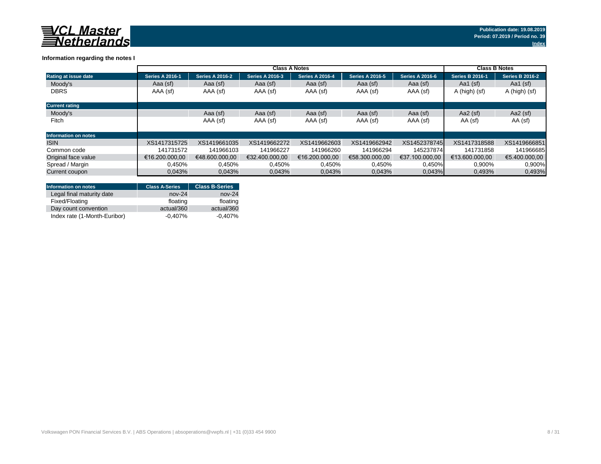

## **Information regarding the notes I**

|                             |                        | <b>Class B Notes</b>   |                        |                        |                        |                        |                        |                        |
|-----------------------------|------------------------|------------------------|------------------------|------------------------|------------------------|------------------------|------------------------|------------------------|
| <b>Rating at issue date</b> | <b>Series A 2016-1</b> | <b>Series A 2016-2</b> | <b>Series A 2016-3</b> | <b>Series A 2016-4</b> | <b>Series A 2016-5</b> | <b>Series A 2016-6</b> | <b>Series B 2016-1</b> | <b>Series B 2016-2</b> |
| Moody's                     | Aaa (sf)               | Aaa (sf)               | Aaa (sf)               | Aaa (sf)               | Aaa (sf)               | Aaa (sf)               | Aa1 $(sf)$             | Aa1 $(sf)$             |
| <b>DBRS</b>                 | AAA (sf)               | AAA (sf)               | AAA (sf)               | AAA (sf)               | AAA (sf)               | AAA (sf)               | A (high) (sf)          | A (high) (sf)          |
| <b>Current rating</b>       |                        |                        |                        |                        |                        |                        |                        |                        |
| Moody's                     |                        | Aaa (sf)               | Aaa (sf)               | Aaa (sf)               | Aaa (sf)               | Aaa (sf)               | Aa2 $(sf)$             | Aa2 $(sf)$             |
| Fitch                       |                        | AAA (sf)               | AAA (sf)               | AAA (sf)               | AAA (sf)               | AAA (sf)               | AA (sf)                | AA (sf)                |
| <b>Information on notes</b> |                        |                        |                        |                        |                        |                        |                        |                        |
| <b>ISIN</b>                 | XS1417315725           | XS1419661035           | XS1419662272           | XS1419662603           | XS1419662942           | XS1452378745           | XS1417318588           | XS1419666851           |
| Common code                 | 141731572              | 141966103              | 141966227              | 141966260              | 141966294              | 145237874              | 141731858              | 141966685              |
| Original face value         | €16.200.000,00         | €48.600.000,00         | €32.400.000,00         | €16.200.000,00         | €58.300.000,00         | €37.100.000,00         | €13.600.000,00         | €5.400.000,00          |
| Spread / Margin             | 0.450%                 | 0.450%                 | 0,450%                 | 0.450%                 | 0,450%                 | 0,450%                 | 0,900%                 | 0,900%                 |
| Current coupon              | 0,043%                 | 0,043%                 | 0,043%                 | 0,043%                 | 0,043%                 | 0,043%                 | 0,493%                 | 0,493%                 |

| <b>Information on notes</b>  | <b>Class A-Series</b> | <b>Class B-Series</b> |
|------------------------------|-----------------------|-----------------------|
| Legal final maturity date    | $nov-24$              | $nov-24$              |
| Fixed/Floating               | floating              | floating              |
| Day count convention         | actual/360            | actual/360            |
| Index rate (1-Month-Euribor) | $-0.407%$             | $-0,407\%$            |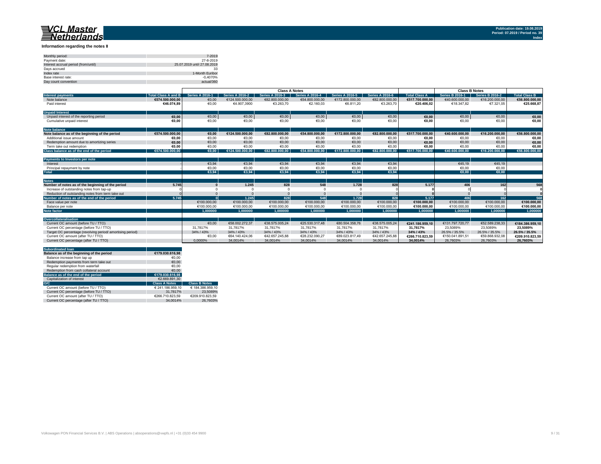

**Information regarding the notes II**

| Monthly period:                      | 7-2019                      |
|--------------------------------------|-----------------------------|
| Payment date:                        | 27-8-2019                   |
| Interest accrual period (from/until) | 25.07.2019 until 27.08.2019 |
| Days accrued                         | 33                          |
| Index rate                           | 1-Month Euribor             |
| Base interest rate:                  | $-0.4070\%$                 |
| Day count convention                 | actual/360                  |
|                                      |                             |

|                                                           |                            | <b>Class A Notes</b>       |                        |                        |                        |                          | <b>Class B Notes</b>   |                          |                            |                        |                      |
|-----------------------------------------------------------|----------------------------|----------------------------|------------------------|------------------------|------------------------|--------------------------|------------------------|--------------------------|----------------------------|------------------------|----------------------|
| <b>Interest payments</b>                                  | <b>Total Class A and B</b> | <b>Series A 2016-1</b>     | <b>Series A 2016-2</b> | <b>Series A 2016-3</b> | <b>Series A 2016-4</b> | <b>Series A 2016-5</b>   | <b>Series A 2016-6</b> | <b>Total Class A</b>     | Series B 2016-1            | <b>Series B 2016-2</b> | <b>Total Class B</b> |
| Note balance                                              | €574.500.000,00            | €0,00                      | €124.500.000,00        | €82.800.000,00         | €54.800.000,00         | €172.800.000,00          | €82.800.000,00         | €517.700.000,00          | €40.600.000,00             | €16.200.000,00         | €56.800.000,00       |
| Paid interest                                             | €46.074,89                 | €0,00                      | €4.907,3900            | €3.263,70              | €2.160,03              | €6.811,20                | €3.263,70              | €20.406,02               | €18.347,82                 | €7.321,05              | €25.668,87           |
| <b>Unpaid Interest</b>                                    |                            |                            |                        |                        |                        |                          |                        |                          |                            |                        |                      |
| Unpaid interest of the reporting period                   | €0,00                      | €0,00                      | €0,00                  | €0,00                  | €0,00                  | €0,00                    | €0,00                  | €0,00                    | €0,00                      | €0,00                  | €0,00                |
| Cumulative unpaid interest                                | €0,00                      | €0,00                      | €0,00                  | €0,00                  | €0,00                  | €0,00                    | €0,00                  | €0,00                    | €0,00                      | €0,00                  | €0,00                |
| <b>Note balance</b>                                       |                            |                            |                        |                        |                        |                          |                        |                          |                            |                        |                      |
| Note balance as of the beginning of the period            | €574.500.000,00            | €0,00                      | €124.500.000,00        | €82.800.000,00         | €54.800.000,00         | €172.800.000,00          | €82.800.000,00         | €517.700.000,00          | €40.600.000,00             | €16.200.000,00         | €56.800.000,00       |
| Additional issue amount                                   | €0,00                      | €0,00                      | €0,00                  | €0,00                  | €0,00                  | €0,00                    | €0,00                  | €0,00                    | €0,00                      | €0,00                  | €0,00                |
| Redemption amount due to amortizing series                | €0,00                      | €0,00                      | €0,00                  | €0,00                  | €0,00                  | €0,00                    | €0,00                  | €0,00                    | €0,00                      | €0,00                  | €0,00                |
| Term take out redemption                                  | €0,00                      | €0,00                      | €0,00                  | €0,00                  | €0,00                  | €0,00                    | €0,00                  | €0,00                    | €0,00                      | €0,00                  | €0,00                |
| Class balance as of the end of the period                 | €574.500.000.00            | €0.00                      | €124.500.000,00        | €82.800.000,00         | €54.800.000,00         | $\sqrt{6172.800.000.00}$ | €82.800.000.00         | $\sqrt{6517.700.000,00}$ | $\sqrt{640.600.000.00}$    | €16.200.000,00         | €56.800.000,00       |
| <b>Payments to Investors per note</b>                     |                            |                            |                        |                        |                        |                          |                        |                          |                            |                        |                      |
| Interest                                                  |                            | €3,94                      | €3,94                  | €3,94                  | €3,94                  | €3,94                    | €3,94                  |                          | €45,19                     | €45,19                 |                      |
| Principal repayment by note                               |                            | €0,00                      | €0,00                  | €0,00                  | €0,00                  | €0,00                    | €0,00                  |                          | €0,00                      | €0,00                  |                      |
| <b>Total</b>                                              |                            | $\overline{\epsilon 3.94}$ | E3,94                  | €3,94                  | E3,94                  | €3,94                    | €3,94                  |                          | $\overline{\epsilon 0,00}$ | €0,00                  |                      |
| <b>Notes</b>                                              |                            |                            |                        |                        |                        |                          |                        |                          |                            |                        |                      |
| Number of notes as of the beginning of the period         | 5.745                      |                            | 1.245                  | 828                    | 548                    | 1.728                    | 828                    | 5.177                    | 406                        | 162                    | 568                  |
| Increase of outstanding notes from tap-up                 |                            |                            |                        |                        |                        |                          |                        |                          |                            |                        |                      |
| Reduction of outstanding notes from term take out         |                            |                            |                        |                        |                        |                          |                        |                          |                            |                        |                      |
| lumber of notes as of the end of the period               | 5.745                      |                            | 1.245                  | 828                    | 548                    | 1.728                    | 828                    | 5.177                    | 406                        | 162                    | 568                  |
| Face value per note                                       |                            | €100.000,00                | €100.000,00            | €100.000,00            | €100.000,00            | €100.000,00              | €100.000,00            | €100.000,00              | €100.000,00                | €100.000,00            | €100.000,00          |
| Balance per note                                          |                            | €100.000,00                | €100.000,00            | €100.000,00            | €100.000,00            | €100.000,00              | €100.000,00            | €100.000,00              | €100.000,00                | €100.000,00            | €100.000,00          |
| <b>Note factor</b>                                        |                            | 1,000000                   | 1,000000               | 1.000000               | 1,000000               | 1,000000                 | 1,000000               | 1,000000                 | 1,000000                   | 1,000000               | 1,000000             |
| Overcollateralisation                                     |                            |                            |                        |                        |                        |                          |                        |                          |                            |                        |                      |
| Current OC amount (before TU / TTO)                       |                            | €0,00                      | €58.002.272,37         | €38.575.005,24         | €25.530.317,48         | €80.504.358,76           | €38.575.005,24         | €241.186.959,10          | €131.797.720,77            | €52.589.238,33         | €184.386.959,10      |
| Current OC percentage (before TU / TTO)                   |                            | 31,7817%                   | 31,7817%               | 31,7817%               | 31,7817%               | 31,7817%                 | 31,7817%               | 31,7817%                 | 23,5089%                   | 23,5089%               | 23,5089%             |
| Target OC percentage (revolving period/amortising period) |                            | 34% / 43%                  | 34% / 43%              | 34% / 43%              | 34% / 43%              | 34% / 43%                | 34% / 43%              | 34% / 43%                | 26.5% / 35.5%              | 26.5% / 35.5%          | 26.5% / 35.5%        |
| Current OC amount (after TU / TTO)                        |                            | €0,00                      | €64.140.424,06         | €42.657.245,88         | €28.232.090,27         | €89.023.817,49           | €42.657.245,88         | €266.710.823,59          | €150.041.891,51            | €59.868.932,08         | €209.910.823,59      |
| Current OC percentage (after TU / TTO)                    |                            | 0,0000%                    | 34,0014%               | 34,0014%               | 34,0014%               | 34,0014%                 | 34,0014%               | 34,0014%                 | 26,7603%                   | 26,7603%               | 26,7603%             |
| <b>Subordinated loan</b>                                  |                            |                            |                        |                        |                        |                          |                        |                          |                            |                        |                      |
| Balance as of the beginning of the period                 | €179.030.616,98            |                            |                        |                        |                        |                          |                        |                          |                            |                        |                      |
| Balance increase from tap up                              | €0,00                      |                            |                        |                        |                        |                          |                        |                          |                            |                        |                      |
| Redemption payments from term take out                    | €0,00                      |                            |                        |                        |                        |                          |                        |                          |                            |                        |                      |
| Regular redemption from waterfall                         | €0,00                      |                            |                        |                        |                        |                          |                        |                          |                            |                        |                      |
| Redemption from cash collateral account                   | €0,00                      |                            |                        |                        |                        |                          |                        |                          |                            |                        |                      |
| Balance as of the end of the period                       | €179.030.616,98            |                            |                        |                        |                        |                          |                        |                          |                            |                        |                      |
| Capitalization of interest                                | €2.669.891,30              |                            |                        |                        |                        |                          |                        |                          |                            |                        |                      |
| O/C                                                       | <b>Class A Notes</b>       | <b>Class B Notes</b>       |                        |                        |                        |                          |                        |                          |                            |                        |                      |
| Current OC amount (before TU / TTO)                       | € 241.186.959,10           | € 184.386.959,10           |                        |                        |                        |                          |                        |                          |                            |                        |                      |
| Current OC percentage (before TU / TTO)                   | 31,7817%                   | 23,5089%                   |                        |                        |                        |                          |                        |                          |                            |                        |                      |
| Current OC amount (after TU / TTO)                        | €266.710.823,59            | €209.910.823,59            |                        |                        |                        |                          |                        |                          |                            |                        |                      |

Current OC percentage (after TU / TTO) 34,0014% 34,0014% 26,7603%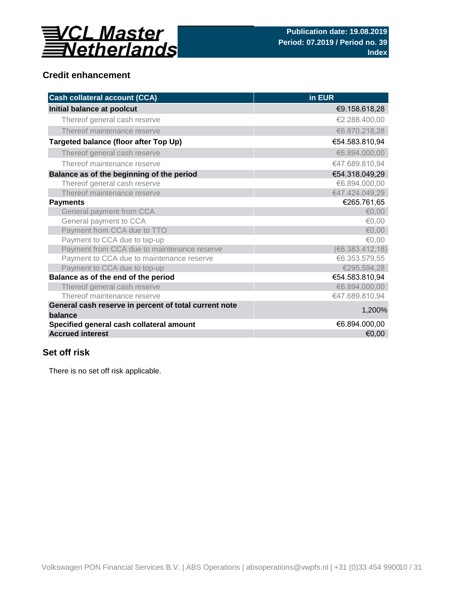

#### **Credit enhancement**

| <b>Cash collateral account (CCA)</b>                             | in EUR          |
|------------------------------------------------------------------|-----------------|
| Initial balance at poolcut                                       | €9.158.618,28   |
| Thereof general cash reserve                                     | €2.288.400,00   |
| Thereof maintenance reserve                                      | €6.870.218,28   |
| Targeted balance (floor after Top Up)                            | €54.583.810,94  |
| Thereof general cash reserve                                     | €6.894.000,00   |
| Thereof maintenance reserve                                      | €47.689.810,94  |
| Balance as of the beginning of the period                        | €54.318.049,29  |
| Thereof general cash reserve                                     | €6.894.000,00   |
| Thereof maintenance reserve                                      | €47.424.049,29  |
| <b>Payments</b>                                                  | €265.761,65     |
| General payment from CCA                                         | €0,00           |
| General payment to CCA                                           | €0,00           |
| Payment from CCA due to TTO                                      | €0,00           |
| Payment to CCA due to tap-up                                     | €0,00           |
| Payment from CCA due to maintenance reserve                      | (€6.383.412,18) |
| Payment to CCA due to maintenance reserve                        | €6.353.579,55   |
| Payment to CCA due to top-up                                     | €295.594,28     |
| Balance as of the end of the period                              | €54.583.810,94  |
| Thereof general cash reserve                                     | €6.894.000,00   |
| Thereof maintenance reserve                                      | €47.689.810,94  |
| General cash reserve in percent of total current note<br>balance | 1,200%          |
| Specified general cash collateral amount                         | €6.894.000,00   |
| <b>Accrued interest</b>                                          | €0,00           |

#### **Set off risk**

There is no set off risk applicable.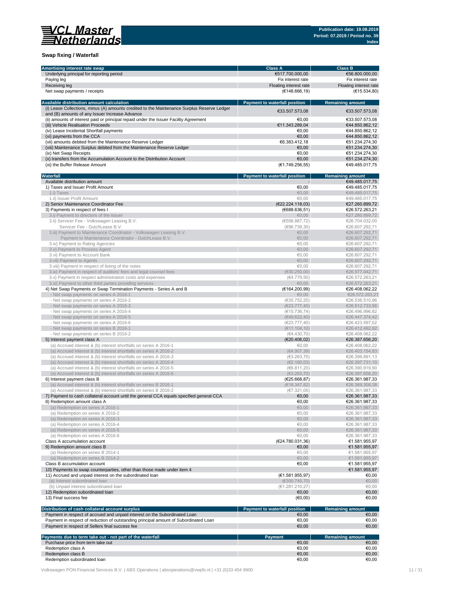# **NASTER**<br>*Netherlands*

### **Swap fixing / Waterfall**

| <b>Amortising interest rate swap</b>                                                                                                          | <b>Class A</b>                       | <b>Class B</b>                   |
|-----------------------------------------------------------------------------------------------------------------------------------------------|--------------------------------------|----------------------------------|
| Underlying principal for reporting period                                                                                                     | €517.700.000,00                      | €56.800.000,00                   |
| Paying leg                                                                                                                                    | Fix interest rate                    | Fix interest rate                |
| Receiving leg                                                                                                                                 | Floating interest rate               | Floating interest rate           |
| Net swap payments / receipts                                                                                                                  | (E148.666, 19)                       | (E15.534,80)                     |
| <b>Available distribution amount calculation</b>                                                                                              | <b>Payment to waterfall position</b> | <b>Remaining amount</b>          |
| (i) Lease Collections, minus (A) amounts credited to the Maintenance Surplus Reserve Ledger<br>and (B) amounts of any Issuer Increase Advance | €33.507.573,08                       | €33.507.573,08                   |
| (ii) amounts of interest paid or principal repaid under the Issuer Facility Agreement                                                         | €0,00                                | €33.507.573,08                   |
| (iii) Vehicle Realisation Proceeds                                                                                                            | €11.343.289,04                       | €44.850.862,12                   |
| (iv) Lease Incidental Shortfall payments                                                                                                      | €0,00                                | €44.850.862,12                   |
| (vi) payments from the CCA                                                                                                                    | €0,00                                | €44.850.862,12                   |
| (vii) amounts debited from the Maintenance Reserve Ledger                                                                                     | €6.383.412,18                        | €51.234.274,30                   |
|                                                                                                                                               |                                      |                                  |
| (viii) Maintenance Surplus debited from the Maintenance Reserve Ledger                                                                        | €0,00                                | €51.234.274,30                   |
| (ix) Net Swap Receipts                                                                                                                        | €0,00                                | €51.234.274,30                   |
| (x) transfers from the Accumulation Account to the Distribution Account<br>(xi) the Buffer Release Amount                                     | €0,00<br>(E1.749.256, 55)            | €51.234.274,30<br>€49.485.017,75 |
| Waterfall                                                                                                                                     | <b>Payment to waterfall position</b> | <b>Remaining amount</b>          |
| Available distribution amount                                                                                                                 |                                      | €49.485.017,75                   |
| 1) Taxes and Issuer Profit Amount                                                                                                             | €0,00                                | €49.485.017,75                   |
| 1.i) Taxes                                                                                                                                    | €0,00                                | €49.485.017,75                   |
| 1.ii) Issuer Profit Amount                                                                                                                    | €0,00                                | €49.485.017,75                   |
|                                                                                                                                               |                                      |                                  |
| 2) Senior Maintenance Coordinator Fee                                                                                                         | (E22.224.118,03)                     | €27.260.899,72                   |
| 3) Payments in respect of fees I                                                                                                              | (€688.636,51)                        | €26.572.263,21                   |
| 3.i) Payment to directors of the issuer                                                                                                       | € $0,00$                             | €27.260.899,72                   |
| 3.ii) Servicer Fee - Volkswagen Leasing B.V.                                                                                                  | (€556.867,72)                        | €26.704.032,00                   |
| Servicer Fee - DutchLease B.V.                                                                                                                | (€96.739,30)                         | €26.607.292,71                   |
| 3.iii) Payment to Maintenance Coordinator - Volkswagen Leasing B.V.                                                                           | €0,00                                | €26.607.292,71                   |
| Payment to Maintenance Coordinator - DutchLease B.V.                                                                                          | €0,00                                | €26.607.292,71                   |
| 3.iv) Payment to Rating Agencies                                                                                                              | €0,00                                | €26.607.292,71                   |
| 3.v) Payment to Process Agent                                                                                                                 | €0,00                                | €26.607.292,71                   |
| 3.vi) Payment to Account Bank                                                                                                                 | €0,00                                | €26.607.292,71                   |
|                                                                                                                                               |                                      |                                  |
| 3. vii) Payment to Agents                                                                                                                     | €0,00                                | €26.607.292,71                   |
| 3. viii) Payment in respect of listing of the notes                                                                                           | €0,00                                | €26.607.292,71                   |
| 3.ix) Payment in respect of auditors' fees and legal counsel fees                                                                             | (€30.250,00)                         | €26.577.042,71                   |
| 3.x) Payment in respect administration costs and expenses                                                                                     | (€4.779,50)                          | €26.572.263,21                   |
| 3.xi) Payment to other third parties providing services                                                                                       | €0,00                                | €26.572.263,21                   |
| 4) Net Swap Payments or Swap Termination Payments - Series A and B                                                                            | (€164.200,99)                        | €26.408.062,22                   |
| - Net swap payments on series A 2016-1                                                                                                        | €0,00                                | €26.572.263,21                   |
| - Net swap payments on series A 2016-2                                                                                                        | (€35.752,25)                         | €26.536.510,96                   |
| - Net swap payments on series A 2016-3                                                                                                        | (E23.777, 40)                        | €26.512.733,56                   |
| - Net swap payments on series A 2016-4                                                                                                        | (€15.736,74)                         | €26.496.996,82                   |
| - Net swap payments on series A 2016-5                                                                                                        | (€49.622,40)                         | €26.447.374,42                   |
|                                                                                                                                               |                                      |                                  |
| - Net swap payments on series A 2016-6                                                                                                        | (€23.777,40)                         | €26.423.597,02                   |
| - Net swap payments on series B 2016-1                                                                                                        | (€11.104,10)                         | €26.412.492,92                   |
| - Net swap payments on series B 2016-2                                                                                                        | (€4.430,70)                          | €26.408.062,22                   |
| 5) Interest payment class A                                                                                                                   | (€20.406, 02)                        | €26.387.656,20                   |
| (a) Accrued interest & (b) interest shortfalls on series A 2016-1                                                                             | €0,00                                | €26.408.062,22                   |
| (a) Accrued interest & (b) interest shortfalls on series A 2016-2                                                                             | (€4.907,39)                          | €26.403.154,83                   |
| (a) Accrued interest & (b) interest shortfalls on series A 2016-3                                                                             | (€3.263,70)                          | €26.399.891,13                   |
| (a) Accrued interest & (b) interest shortfalls on series A 2016-4                                                                             | (€2.160,03)                          | €26.397.731,10                   |
| (a) Accrued interest & (b) interest shortfalls on series A 2016-5                                                                             | (€6.811,20)                          | €26.390.919,90                   |
| (a) Accrued interest & (b) interest shortfalls on series A 2016-6                                                                             | (63.263,70)                          | €26.387.656,20                   |
|                                                                                                                                               |                                      |                                  |
| 6) Interest payment class B                                                                                                                   | (E25.668, 87)                        | €26.361.987,33                   |
| (a) Accrued interest & (b) interest shortfalls on series B 2016-1                                                                             | (E18.347, 82)                        | €26.369.308,38                   |
| (a) Accrued interest & (b) interest shortfalls on series B 2016-2                                                                             | (E7.321,05)                          | €26.361.987,33                   |
| 7) Payment to cash collateral account until the general CCA equals specified general CCA                                                      | €0,00                                | €26.361.987,33                   |
| 8) Redemption amount class A                                                                                                                  | €0,00                                | €26.361.987,33                   |
| (a) Redemption on series A 2016-1                                                                                                             | € $0,00$                             | €26.361.987,33                   |
| (a) Redemption on series A 2016-2                                                                                                             | €0,00                                | €26.361.987,33                   |
| (a) Redemption on series A 2016-3                                                                                                             | € $0,00$                             | €26.361.987,33                   |
| (a) Redemption on series A 2016-4                                                                                                             | €0,00                                | €26.361.987,33                   |
| (a) Redemption on series A 2016-5                                                                                                             | €0,00                                | €26.361.987,33                   |
| (a) Redemption on series A 2016-6                                                                                                             | €0,00                                | €26.361.987,33                   |
|                                                                                                                                               |                                      |                                  |
| Class A accumulation account                                                                                                                  | (E24.780.031,36)                     | €1.581.955,97                    |
| 9) Redemption amount class B                                                                                                                  | €0,00                                | €1.581.955,97                    |
| (a) Redemption on series B 2014-1                                                                                                             | €0,00                                | €1.581.955,97                    |
| (a) Redemption on series B 2014-2                                                                                                             | € $0,00$                             | €1.581.955,97                    |
| Class B accumulation account                                                                                                                  | €0,00                                | €1.581.955,97                    |
| 10) Payments to swap counterparties, other than those made under item 4                                                                       |                                      | €1.581.955,97                    |
| 11) Accrued and unpaid interest on the subordinated loan                                                                                      | (E1.581.955,97)                      | €0,00                            |
| (a) Interest subordinated loan                                                                                                                | (€300.745,70)                        | $\epsilon$ 0,00                  |
|                                                                                                                                               |                                      |                                  |
| (b) Unpaid interest subordinated loan                                                                                                         | (E1.281.210,27)                      | €0,00                            |
| 12) Redemption subordinated loan                                                                                                              | €0,00                                | €0,00                            |
| 13) Final success fee                                                                                                                         | (€0,00)                              | €0,00                            |

| Distribution of cash collateral account surplus                                      | <b>Payment to waterfall position</b> | Remaining amount |
|--------------------------------------------------------------------------------------|--------------------------------------|------------------|
| Payment in respect of accrued and unpaid interest on the Subordinated Loan           | €0,00                                | €0,00            |
| Payment in respect of reduction of outstanding principal amount of Subordinated Loan | €0.00                                | €0,00            |
| Payment in respect of Sellers final success fee                                      | €0,00                                | €0,00            |

| Payments due to term take out - not part of the waterfall | <b>Pavment</b> | <b>Remaining amount</b> |
|-----------------------------------------------------------|----------------|-------------------------|
| Purchase price from term take out                         | €0,00          | €0,00                   |
| Redemption class A                                        | €0,00          | €0,00                   |
| Redemption class B                                        | €0,00          | $\epsilon$ 0,00         |
| Redemption subordinated loan                              | €0,00          | €0,00                   |

Volkswagen PON Financial Services B.V. | ABS Operations | absoperations@vwpfs.nl | +31 (0)33 454 9900 11 / 31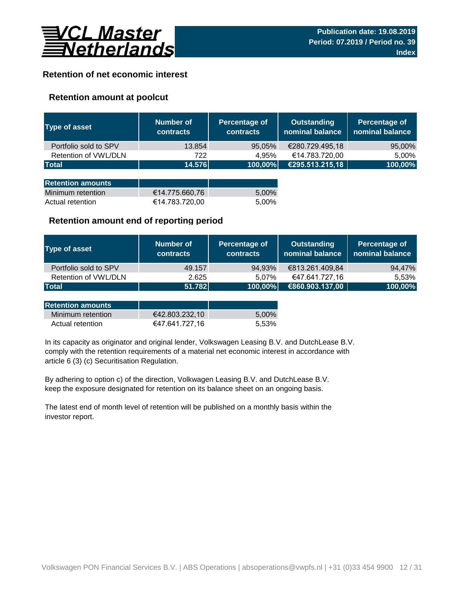

#### **Retention of net economic interest**

#### **Retention amount at poolcut**

| Type of asset            | <b>Number of</b><br><b>contracts</b> | Percentage of<br><b>contracts</b> | <b>Outstanding</b><br>nominal balance | Percentage of<br>nominal balance |
|--------------------------|--------------------------------------|-----------------------------------|---------------------------------------|----------------------------------|
| Portfolio sold to SPV    | 13.854                               | 95,05%                            | €280.729.495,18                       | 95,00%                           |
| Retention of VWL/DLN     | 722                                  | 4,95%                             | €14.783.720,00                        | 5,00%                            |
| <b>Total</b>             | 14.576                               | 100,00%                           | €295.513.215,18                       | 100,00%                          |
|                          |                                      |                                   |                                       |                                  |
| <b>Retention amounts</b> |                                      |                                   |                                       |                                  |
| Minimum retention        | €14.775.660,76                       | 5,00%                             |                                       |                                  |
| Actual retention         | €14.783.720,00                       | 5.00%                             |                                       |                                  |

#### **Retention amount end of reporting period**

| Type of asset         | Number of<br><b>contracts</b> | <b>Percentage of</b><br>contracts | <b>Outstanding</b><br>nominal balance | Percentage of<br>nominal balance |
|-----------------------|-------------------------------|-----------------------------------|---------------------------------------|----------------------------------|
| Portfolio sold to SPV | 49.157                        | 94,93%                            | €813.261.409,84                       | 94,47%                           |
| Retention of VWL/DLN  | 2.625                         | 5.07%                             | €47.641.727,16                        | 5.53%                            |
| <b>Total</b>          | 51.782                        | 100,00%                           | €860.903.137,00                       | 100,00%                          |

| <b>Retention amounts</b> |                |       |
|--------------------------|----------------|-------|
| Minimum retention        | €42.803.232.10 | 5.00% |
| Actual retention         | €47.641.727.16 | 5.53% |

article 6 (3) (c) Securitisation Regulation. In its capacity as originator and original lender, Volkswagen Leasing B.V. and DutchLease B.V. comply with the retention requirements of a material net economic interest in accordance with

By adhering to option c) of the direction, Volkwagen Leasing B.V. and DutchLease B.V. keep the exposure designated for retention on its balance sheet on an ongoing basis.

The latest end of month level of retention will be published on a monthly basis within the investor report.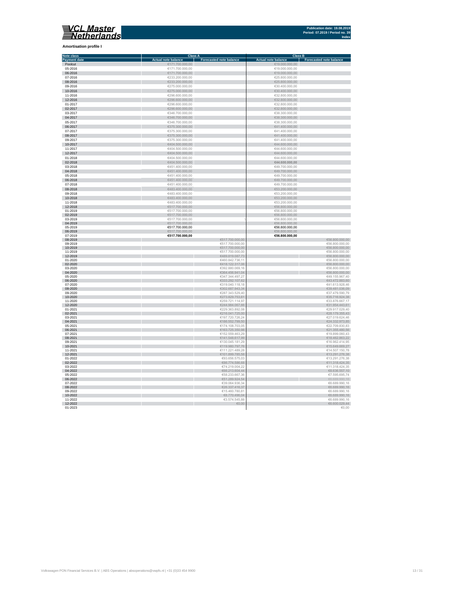

## **Amortisation profile I**

| <b>Note class</b>   | <b>Class A</b>             |                                    | <b>Class B</b>                   |                                  |
|---------------------|----------------------------|------------------------------------|----------------------------------|----------------------------------|
| <b>Payment date</b> | <b>Actual note balance</b> | <b>Forecasted note balance</b>     | <b>Actual note balance</b>       | <b>Forecasted note balance</b>   |
| Poolcut             | €171.700.000,00            |                                    | €19.000.000,00                   |                                  |
| 05-2016             | €171.700.000,00            |                                    | €19.000.000,00                   |                                  |
| 06-2016             | €171.700.000,00            |                                    | €19.000.000,00                   |                                  |
| 07-2016             | €233.200.000,00            |                                    | €25.800.000,00                   |                                  |
| 08-2016             | €233.200.000,00            |                                    | €25.800.000,00                   |                                  |
|                     |                            |                                    |                                  |                                  |
| 09-2016             | €275.000.000,00            |                                    | €30.400.000,00                   |                                  |
| 10-2016             | €275.000.000,00            |                                    | €30.400.000,00                   |                                  |
| 11-2016             | €296.600.000,00            |                                    | €32.800.000,00                   |                                  |
| 12-2016             | €296.600.000,00            |                                    | €32.800.000,00                   |                                  |
| 01-2017             | €296.600.000,00            |                                    | €32.800.000,00                   |                                  |
| 02-2017             | €296.600.000,00            |                                    | €32.800.000,00                   |                                  |
| 03-2017             | €346.700.000,00            |                                    | €38.300.000,00                   |                                  |
| 04-2017             | €346.700.000,00            |                                    | €38.300.000,00                   |                                  |
| 05-2017             |                            |                                    | €38.300.000,00                   |                                  |
|                     | €346.700.000,00            |                                    |                                  |                                  |
| 06-2017             | €375.300.000,00            |                                    | €41.400.000,00                   |                                  |
| 07-2017             | €375.300.000,00            |                                    | €41.400.000,00                   |                                  |
| 08-2017             | €375.300.000,00            |                                    | €41.400.000,00                   |                                  |
| 09-2017             | €375.300.000,00            |                                    | €41.400.000,00                   |                                  |
| 10-2017             | €404.500.000,00            |                                    | €44.600.000,00                   |                                  |
| 11-2017             | €404.500.000,00            |                                    | €44.600.000,00                   |                                  |
| 12-2017             | €404.500.000,00            |                                    | €44.600.000,00                   |                                  |
| 01-2018             | €404.500.000,00            |                                    | €44.600.000,00                   |                                  |
| 02-2018             | €404.500.000,00            |                                    | €44.600.000,00                   |                                  |
|                     |                            |                                    |                                  |                                  |
| 03-2018             | €451.400.000,00            |                                    | €49.700.000,00                   |                                  |
| 04-2018             | €451.400.000,00            |                                    | €49.700.000,00                   |                                  |
| 05-2018             | €451.400.000,00            |                                    | €49.700.000,00                   |                                  |
| 06-2018             | €451.400.000,00            |                                    | €49.700.000,00                   |                                  |
| 07-2018             | €451.400.000,00            |                                    | €49.700.000,00                   |                                  |
| 08-2018             | €483.400.000,00            |                                    | €53.200.000,00                   |                                  |
| 09-2018             | €483.400.000,00            |                                    | €53.200.000,00                   |                                  |
| 10-2018             | €483.400.000,00            |                                    | €53.200.000,00                   |                                  |
| 11-2018             | €483.400.000,00            |                                    | €53.200.000,00                   |                                  |
| 12-2018             | €517.700.000,00            |                                    | €56.800.000,00                   |                                  |
| 01-2019             | €517.700.000,00            |                                    | €56.800.000,00                   |                                  |
| 02-2019             | €517.700.000,00            |                                    | €56.800.000,00                   |                                  |
| 03-2019             | €517.700.000,00            |                                    | €56.800.000,00                   |                                  |
|                     |                            |                                    |                                  |                                  |
| 04-2019             | €517.700.000,00            |                                    | €56.800.000,00                   |                                  |
| 05-2019             | €517.700.000,00            |                                    | €56.800.000,00                   |                                  |
| 06-2019<br>07-2019  | €517.700.000,00            |                                    | €56.800.000,00<br>€56.800.000,00 |                                  |
| 08-2019             | €517.700.000,00            | €517.700.000,00                    |                                  |                                  |
| 09-2019             |                            | €517.700.000,00                    |                                  | €56.800.000,00<br>€56.800.000,00 |
| 10-2019             |                            | €517.700.000,00                    |                                  | €56.800.000,00                   |
| 11-2019             |                            |                                    |                                  |                                  |
| 12-2019             |                            | €517.700.000,00<br>€489.819.087,73 |                                  | €56.800.000,00<br>€56.800.000,00 |
| 01-2020             |                            | €460.842.736,11                    |                                  | €56.800.000,00                   |
| 02-2020             |                            | €418.122.317,06                    |                                  | €56.800.000,00                   |
| 03-2020             |                            | €392.880.069,16                    |                                  | €56.800.000,00                   |
| 04-2020             |                            | €364.456.941,04                    |                                  | €56.800.000,00                   |
| 05-2020             |                            | €347.344.497,27                    |                                  | €49.155.967,40                   |
| 06-2020             |                            | €333.292.107,62                    |                                  | €43.472.883,60                   |
| 07-2020             |                            | €319.040.118,18                    |                                  | €41.613.928,46                   |
| 08-2020             |                            | €302.687.943,34                    |                                  | €39.481.036,09                   |
| 09-2020             |                            | €287.343.529,40                    |                                  | €37.479.590,79                   |
| 10-2020             |                            | €273.829.753,61                    |                                  | €35.716.924,38                   |
| 11-2020             |                            | €259.721.114,97                    |                                  | €33.876.667,17                   |
| 12-2020             |                            | €244.984.067,66                    |                                  | €31.954.443,61                   |
| 01-2021             |                            | €229.363.892,08                    |                                  | €29.917.029,40                   |
| 02-2021             |                            | €216.041.725,00                    |                                  | €28.179.355,43                   |
| 03-2021             |                            | €197.720.726,24                    |                                  | €27.019.624,46                   |
| 04-2021             |                            | €186.552.799,50                    |                                  | €24.332.973,85                   |
| 05-2021             |                            | €174.108.703,05                    |                                  | €22.709.830,83                   |
| 06-2021             |                            | €163.725.350,98                    |                                  | €21.355.480,56                   |
| 07-2021             |                            | €152.559.463,29                    |                                  | €19.899.060,43                   |
| 08-2021             |                            | €141.548.617,99                    |                                  | €18.462.863,22                   |
| 09-2021             |                            | €130.045.181,29                    |                                  | €16.962.414,95                   |
| 10-2021             |                            | €119.980.797,76                    |                                  | €15.649.669,27                   |
| 11-2021             |                            | €111.221.489,28                    |                                  | €14.507.150,78                   |
| 12-2021             |                            | €101.899.785,58                    |                                  | €13.291.276,38                   |
| 01-2022             |                            | €93.656.575,03                     |                                  | €13.291.276,38                   |
| 02-2022             |                            | €86.774.586,68                     |                                  | €11.318.424,35                   |
| 03-2022             |                            | €74.219.004,22                     |                                  | €11.318.424,35                   |
|                     |                            |                                    |                                  |                                  |
| 04-2022             |                            | €66.213.604,44                     |                                  | €8.636.557,10<br>€7.595.695,74   |
| 05-2022             |                            | €58.233.667,36                     |                                  |                                  |
| 06-2022             |                            | €51.289.924,54                     |                                  | €6.689.990,16                    |
| 07-2022             |                            | €39.064.936,34                     |                                  | €6.689.990,16                    |
| 08-2022             |                            | €26.337.416,37                     |                                  | €6.689.990,16                    |
| 09-2022             |                            | €15.460.780,81                     |                                  | €6.689.990,16                    |
| 10-2022             |                            | €8.770.496,04                      |                                  | €6.689.990,16                    |
| 11-2022             |                            | €3.574.545,88                      |                                  | €6.689.990,16                    |
| 12-2022<br>01-2023  |                            | $\epsilon$ 0,00                    |                                  | €6.600.029,44<br>€0,00           |
|                     |                            |                                    |                                  |                                  |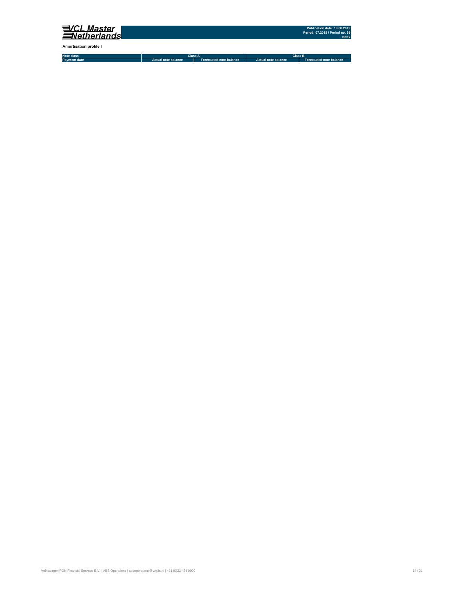

**Amortisation profile I**

| Note class          |                     | ыаээ н                                | <b>Class</b>        |                         |  |  |
|---------------------|---------------------|---------------------------------------|---------------------|-------------------------|--|--|
| <b>Payment date</b> | Actual note balance | balance<br><b>Anore</b><br>Forecasted | Actual note balance | Forecasted note balance |  |  |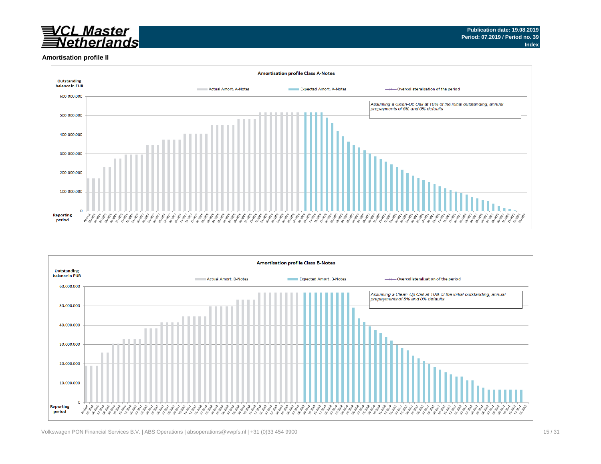# <u>CL Master</u><br>Vetherlands

### **Amortisation profile II**



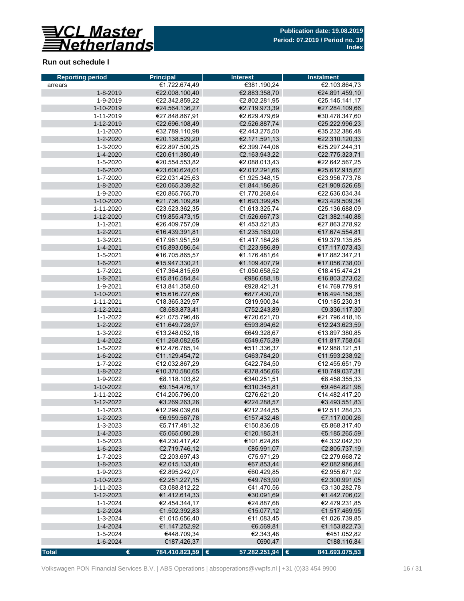

#### **Run out schedule I**

| <b>Reporting period</b> | <b>Principal</b>        | <b>Interest</b>   | <b>Instalment</b> |
|-------------------------|-------------------------|-------------------|-------------------|
| arrears                 | €1.722.674,49           | €381.190,24       | €2.103.864,73     |
| $1 - 8 - 2019$          | €22.008.100,40          | €2.883.358,70     | €24.891.459,10    |
| 1-9-2019                | €22.342.859,22          | €2.802.281,95     | €25.145.141,17    |
| 1-10-2019               | €24.564.136,27          | €2.719.973,39     | €27.284.109,66    |
| 1-11-2019               | €27.848.867,91          | €2.629.479,69     | €30.478.347,60    |
| 1-12-2019               | €22.696.108,49          | €2.526.887,74     | €25.222.996,23    |
| $1 - 1 - 2020$          | €32.789.110,98          | €2.443.275,50     | €35.232.386,48    |
| 1-2-2020                | €20.138.529,20          | €2.171.591,13     | €22.310.120,33    |
| 1-3-2020                | €22.897.500,25          | €2.399.744,06     | €25.297.244,31    |
| 1-4-2020                | €20.611.380,49          | €2.163.943,22     | €22.775.323,71    |
| 1-5-2020                | €20.554.553,82          | €2.088.013,43     | €22.642.567,25    |
| 1-6-2020                | €23.600.624,01          | €2.012.291,66     | €25.612.915,67    |
| 1-7-2020                | €22.031.425,63          | €1.925.348,15     | €23.956.773,78    |
| 1-8-2020                | €20.065.339,82          | €1.844.186,86     | €21.909.526,68    |
| 1-9-2020                | €20.865.765,70          | €1.770.268,64     | €22.636.034,34    |
| 1-10-2020               | €21.736.109,89          | €1.693.399,45     | €23.429.509,34    |
| 1-11-2020               | €23.523.362,35          | €1.613.325,74     | €25.136.688,09    |
| 1-12-2020               | €19.855.473,15          | €1.526.667,73     | €21.382.140,88    |
| $1 - 1 - 2021$          | €26.409.757,09          | €1.453.521,83     | €27.863.278,92    |
| 1-2-2021                | €16.439.391,81          | €1.235.163,00     | €17.674.554,81    |
| 1-3-2021                | €17.961.951,59          | €1.417.184,26     | €19.379.135,85    |
| 1-4-2021                | €15.893.086,54          | €1.223.986,89     | €17.117.073,43    |
| 1-5-2021                | €16.705.865,57          | €1.176.481,64     | €17.882.347,21    |
| 1-6-2021                | €15.947.330,21          | €1.109.407,79     | €17.056.738,00    |
| 1-7-2021                | €17.364.815,69          | €1.050.658,52     | €18.415.474,21    |
| $1 - 8 - 2021$          | €15.816.584,84          | €986.688,18       | €16.803.273,02    |
| 1-9-2021                | €13.841.358,60          | €928.421,31       | €14.769.779,91    |
| 1-10-2021               | €15.616.727,66          | €877.430,70       | €16.494.158,36    |
| 1-11-2021               | €18.365.329,97          | €819.900,34       | €19.185.230,31    |
| 1-12-2021               | €8.583.873,41           | €752.243,89       | €9.336.117,30     |
| 1-1-2022                | €21.075.796,46          | €720.621,70       | €21.796.418,16    |
| 1-2-2022                | €11.649.728,97          | €593.894,62       | €12.243.623,59    |
| 1-3-2022                | €13.248.052,18          | €649.328,67       | €13.897.380,85    |
| 1-4-2022                | €11.268.082,65          | €549.675,39       | €11.817.758,04    |
| 1-5-2022                | €12.476.785,14          | €511.336,37       | €12.988.121,51    |
| 1-6-2022                | €11.129.454,72          | €463.784,20       | €11.593.238,92    |
| 1-7-2022                | €12.032.867,29          | €422.784,50       | €12.455.651,79    |
| 1-8-2022                | €10.370.580,65          | €378.456,66       | €10.749.037,31    |
| 1-9-2022                | €8.118.103,82           | €340.251,51       | €8.458.355,33     |
| 1-10-2022               | €9.154.476,17           | €310.345,81       | €9.464.821,98     |
| 1-11-2022               | €14.205.796,00          | €276.621,20       | €14.482.417,20    |
| 1-12-2022               | €3.269.263,26           | €224.288,57       | €3.493.551,83     |
| 1-1-2023                | €12.299.039,68          | €212.244,55       | €12.511.284,23    |
| 1-2-2023                | €6.959.567,78           | €157.432,48       | €7.117.000,26     |
| 1-3-2023                | €5.717.481,32           | €150.836,08       | €5.868.317,40     |
| 1-4-2023                | €5.065.080,28           | €120.185,31       | €5.185.265,59     |
| 1-5-2023                | €4.230.417,42           | €101.624,88       | €4.332.042,30     |
| 1-6-2023                | €2.719.746,12           | €85.991,07        | €2.805.737,19     |
| 1-7-2023                | €2.203.697,43           | €75.971,29        | €2.279.668,72     |
| $1 - 8 - 2023$          | €2.015.133,40           | €67.853,44        | €2.082.986,84     |
| 1-9-2023                | €2.895.242,07           | €60.429,85        | €2.955.671,92     |
| 1-10-2023               | €2.251.227,15           | €49.763,90        | €2.300.991,05     |
| 1-11-2023               | €3.088.812,22           | €41.470,56        | €3.130.282,78     |
| 1-12-2023               | €1.412.614,33           | €30.091,69        | €1.442.706,02     |
| $1 - 1 - 2024$          | €2.454.344,17           | €24.887,68        | €2.479.231,85     |
| 1-2-2024                | €1.502.392,83           | €15.077,12        | €1.517.469,95     |
| 1-3-2024                | €1.015.656,40           | €11.083,45        | €1.026.739,85     |
| 1-4-2024                | €1.147.252,92           | €6.569,81         | €1.153.822,73     |
| 1-5-2024                | €448.709,34             | €2.343,48         | €451.052,82       |
| 1-6-2024                | €187.426,37             | €690,47           | €188.116,84       |
| <b>Total</b>            | 784.410.823,59   €<br>€ | 57.282.251,94   € | 841.693.075,53    |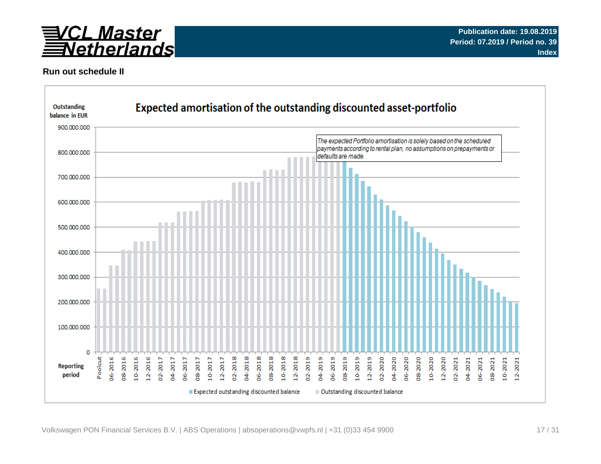

#### **Run out schedule II**

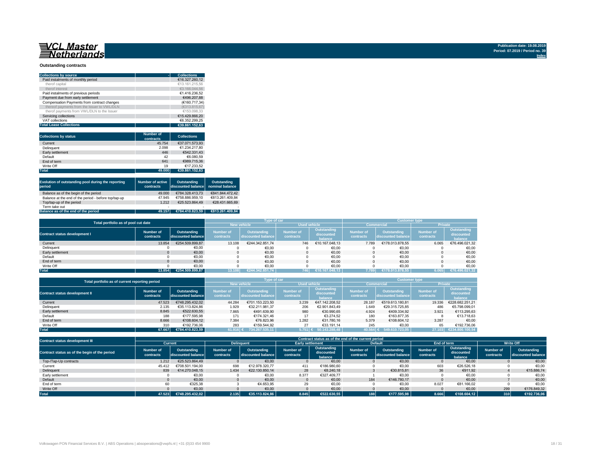# **NASSET SEARCHLING**

### **Outstanding contracts**

| <b>Collections by source</b>                |                  | <b>Collections</b> |
|---------------------------------------------|------------------|--------------------|
| Paid instalments of monthly period          |                  | €16.327.260,12     |
| therof capital                              |                  | €13.161.215,56     |
| therof interest                             |                  | €3.166.044,56      |
| Paid instalments of previous periods        |                  | €1.416.236,52      |
| Payment due from early settlement           |                  | €496.207,88        |
| Compensation Payments from contract changes |                  | (€160.717,34)      |
| thereof payments from the Issuer to VWL/DLN |                  | (E313.815, 67)     |
| therof payments from VWL/DLN to the Issuer  |                  | €153.098,33        |
| Servicing collections                       |                  | €15.429.866,20     |
| <b>VAT collections</b>                      |                  | €6.352.299,25      |
| <b>Total Lease Collections</b>              |                  | €39.861.152,63     |
|                                             |                  |                    |
|                                             | <b>Number of</b> | <b>Collections</b> |
| <b>Collections by status</b>                | contracts        |                    |
| Current                                     | 45.754           | €37.071.573,93     |
| Delinquent                                  | 2.098            | €1.234.217,80      |
| Early settlement                            | 446              | €542.331,43        |
|                                             |                  |                    |
| <b>Default</b>                              | 42               | €6.080,59          |
| End of term                                 | 641              | €989.715,36        |
| Write Off                                   | 19               | €17.233,52         |

| Evolution of outstanding pool during the reporting<br>period | <b>Number of active</b><br>contracts | <b>Outstanding</b><br>discounted balance | <b>Outstanding</b><br>nominal balance |
|--------------------------------------------------------------|--------------------------------------|------------------------------------------|---------------------------------------|
| Balance as of the begin of the period                        | 49.000                               | €784.328.413,73                          | €841.844.472,42                       |
| Balance at the end of the period - before top/tap-up         | 47.945                               | €758.886.959,10                          | €813.261.409,84                       |
| Top/tap-up of the period                                     | 1.212                                | €25.523.864,49                           | €28.431.665,69                        |
| Term take out                                                | -                                    |                                          |                                       |
| Balance as of the end of the period                          | 49.157                               | €784.410.823,59                          | €813.261.409,84                       |

| Total portfolio as of pool cut date  |                        |                                   |                               | Type of car                              |                               |                                             | <b>Customer type</b>          |                                          |                                      |                                             |
|--------------------------------------|------------------------|-----------------------------------|-------------------------------|------------------------------------------|-------------------------------|---------------------------------------------|-------------------------------|------------------------------------------|--------------------------------------|---------------------------------------------|
|                                      |                        |                                   |                               | <b>New vehicle</b>                       | <b>Used vehicle</b>           |                                             |                               | <b>Commercial</b>                        | <b>Private</b>                       |                                             |
| <b>Contract status development I</b> | Number of<br>contracts | Outstanding<br>discounted balance | <b>Number of</b><br>contracts | <b>Outstanding</b><br>discounted balance | <b>Number of</b><br>contracts | <b>Outstanding</b><br>discounted<br>balance | <b>Number of</b><br>contracts | <b>Outstanding</b><br>discounted balance | <b>Number of</b><br><b>contracts</b> | Outstanding<br>discounted<br><b>balance</b> |
| Current                              | 13.854                 | €254.509.899,87                   | 13.108                        | €244.342.851,74                          | 746                           | €10.167.048,13                              | 7.789                         | €178.013.878,55                          | 6.065                                | €76.496.021,32                              |
| Delinquent                           |                        | €0,00                             |                               | €0,00                                    |                               | €0,00                                       |                               | €0,00                                    |                                      | €0,00                                       |
| Early settlement                     |                        | €0,00                             |                               | €0,00                                    |                               | €0,00                                       |                               | €0,00                                    |                                      | €0,00                                       |
| Default                              |                        | €0,00                             |                               | €0,00                                    |                               | €0,00                                       |                               | €0,00                                    |                                      | €0,00                                       |
| End of term                          |                        | €0,00                             |                               | €0,00                                    |                               | €0,00                                       |                               | €0,00                                    |                                      | €0,00                                       |
| Write Off                            |                        | €0,00                             |                               | €0,00                                    |                               | €0,00                                       |                               | €0,00                                    |                                      | €0,00                                       |
| <b>Total</b>                         | 13.854 $\vert$         | €254.509.899,87                   | 13.108                        | €244.342.851,74                          | 746                           | €10.167.048,13                              | 7.789                         | €178.013.878,55                          | 6.065                                | €76.496.021,32                              |

| Total portfolio as of current reporting period |                        |                                   |                               | Type of car                              |                                      |                                             | <b>Customer type</b>          |                                          |                               |                                             |
|------------------------------------------------|------------------------|-----------------------------------|-------------------------------|------------------------------------------|--------------------------------------|---------------------------------------------|-------------------------------|------------------------------------------|-------------------------------|---------------------------------------------|
|                                                |                        |                                   |                               | <b>New vehicle</b>                       | <b>Used vehicle</b>                  |                                             |                               | <b>Commercial</b>                        | <b>Private</b>                |                                             |
| <b>Contract status development II</b>          | Number of<br>contracts | Outstanding<br>discounted balance | <b>Number of</b><br>contracts | <b>Outstanding</b><br>discounted balance | <b>Number of</b><br><b>contracts</b> | <b>Outstanding</b><br>discounted<br>balance | <b>Number of</b><br>contracts | <b>Outstanding</b><br>discounted balance | <b>Number of</b><br>contracts | <b>Outstanding</b><br>discounted<br>balance |
| Current                                        | 47.523                 | €748.295.432,02                   | 44.284                        | €701.153.223,50                          | 3.239                                | €47.142.208,52                              | 28.187                        | €519.613.180,81                          | 19.336                        | €228.682.251,21                             |
| Delinquent                                     | 2.135                  | €35.113.824,86                    | 1.929                         | €32.211.981,37                           | 206                                  | €2.901.843,49                               | 1.649                         | €29.315.725,85                           | 486                           | €5.798.099,01                               |
| Early settlement                               | 8.845                  | €522.630,55                       | 7.865                         | €491.639,90                              | 980                                  | €30.990,65                                  | 4.924                         | €409.334,92                              | 3.921                         | €113.295,63                                 |
| Default                                        | 188                    | €177.595,98                       | 171                           | €174.321,46                              | 17                                   | €3.274,52                                   | 180                           | €163.877,35                              |                               | €13.718,63                                  |
| End of term                                    | 8.666                  | €108.604,12                       | 7.384                         | €76.823,96                               | 1.282                                | €31.780,16                                  | 5.379                         | €108.604,12                              | 3.287                         | €0,00                                       |
| Write Off                                      | 310                    | €192.736,06                       | 283                           | €159.544,92                              | 27                                   | €33.191,14                                  | 245                           | €0,00                                    | 65                            | €192.736,06                                 |
| <b>Total</b>                                   | 67.667                 | €784.410.823,59                   | 61.916                        | 734.267.535,11                           | 5.751∣ €                             | $\sqrt{50.143.288,48}$                      | 10.564  ∢                     | 549.610.723,05                           | 27.103                        | €234.800.100,54                             |

| <b>Contract status development III</b>        | Contract status as of the end of the current period |                                   |                               |                                   |                               |                                      |                        |                                   |                               |                                      |                               |                                   |
|-----------------------------------------------|-----------------------------------------------------|-----------------------------------|-------------------------------|-----------------------------------|-------------------------------|--------------------------------------|------------------------|-----------------------------------|-------------------------------|--------------------------------------|-------------------------------|-----------------------------------|
|                                               | <b>Current</b>                                      |                                   | <b>Delinguent</b>             |                                   | <b>Early settlement</b>       |                                      |                        | <b>Default</b>                    | End of term                   |                                      | <b>Write Off</b>              |                                   |
| Contract status as of the begin of the period | <b>Number of</b><br>contracts                       | Outstanding<br>discounted balance | <b>Number of</b><br>contracts | Outstanding<br>discounted balance | <b>Number of</b><br>contracts | Outstanding<br>discounted<br>balance | Number of<br>contracts | Outstanding<br>discounted balance | <b>Number of</b><br>contracts | Outstanding<br>discounted<br>balance | <b>Number of</b><br>contracts | Outstanding<br>discounted balance |
| Top-/Tap-Up contracts                         | 1.212                                               | €25.523.864,49                    |                               | €0,00                             |                               | €0,00                                |                        | €0,00                             |                               | €0,00                                |                               | €0,00                             |
| Current                                       | 45.412                                              | €708.501.194,00                   | 698                           | €12.978.320,77                    | 411                           | €186.980,60                          |                        | €0,00                             | 603                           | €26.526,18                           |                               | €0,00                             |
| Delinquent                                    | 839                                                 | €14.270.048,15                    | 1.434                         | €22.130.850,14                    | 28                            | €8.240,18                            |                        | €30.815,81                        | 36                            | €911,92                              |                               | €15.886,74                        |
| Early settlement                              |                                                     | €0,00                             |                               | €0,00                             | 8.377                         | €327.409,77                          |                        | €0,00                             |                               | €0,00                                |                               | €0,00                             |
| Default                                       |                                                     | €0,00                             |                               | €0,00                             |                               | €0,00                                | 184                    | €146.780,17                       |                               | €0,00                                |                               | €0,00                             |
| End of term                                   | 60                                                  | €325,38                           |                               | €4.653,95                         | 29                            | €0,00                                |                        | €0,00                             | 8.027                         | €81.166,02                           |                               | €0,00                             |
| Write Off                                     |                                                     | €0,00                             |                               | €0,00                             |                               | €0,00                                |                        | €0,00                             |                               | €0,00                                | 299                           | €176.849,32                       |
| <b>Total</b>                                  | 47.523                                              | €748.295.432,02                   | 2.135                         | €35.113.824,86                    | 8.845                         | €522.630,55                          |                        | 188<br>€177.595,98                | 8.666                         | €108.604,12                          | 310                           | €192.736,06                       |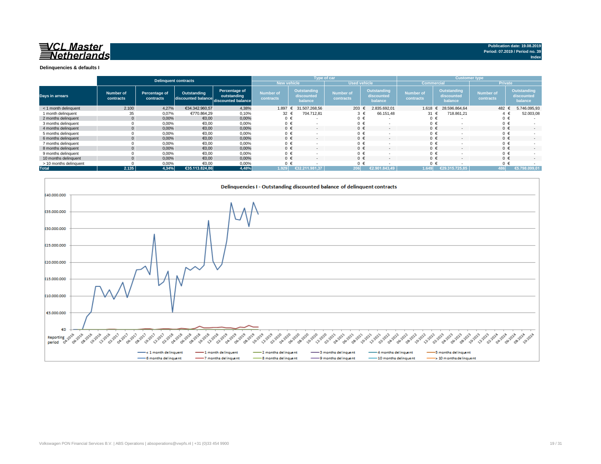

#### **Delinquencies & defaults I**

|                        | <b>Delinquent contracts</b> |                            |                    |                                                                              |                                      |                                             | Type of car                          |                                             | <b>Customer type</b>          |                                             |                               |                                             |
|------------------------|-----------------------------|----------------------------|--------------------|------------------------------------------------------------------------------|--------------------------------------|---------------------------------------------|--------------------------------------|---------------------------------------------|-------------------------------|---------------------------------------------|-------------------------------|---------------------------------------------|
|                        |                             |                            |                    |                                                                              | <b>New vehicle</b>                   |                                             | <b>Used vehicle</b>                  |                                             |                               | <b>Commercial</b>                           |                               | <b>Private</b>                              |
| Days in arrears        | Number of<br>contracts      | Percentage of<br>contracts | <b>Outstanding</b> | <b>Percentage of</b><br>outstanding<br>discounted balance discounted balance | <b>Number of</b><br><b>contracts</b> | <b>Outstanding</b><br>discounted<br>balance | <b>Number of</b><br><b>contracts</b> | <b>Outstanding</b><br>discounted<br>balance | <b>Number of</b><br>contracts | <b>Outstanding</b><br>discounted<br>balance | <b>Number of</b><br>contracts | <b>Outstanding</b><br>discounted<br>balance |
| < 1 month delinquent   | 2.100                       | 4,27%                      | €34.342.960,57     | 4,38%                                                                        | 1.897                                | 31.507.268,56                               | 203 $\epsilon$                       | 2.835.692,01                                | $1.618 \t∈$                   | 28.596.864,64                               | 482 €                         | 5.746.095,93                                |
| 1 month delinquent     | 35                          | 0,07%                      | €770.864,29        | 0,10%                                                                        | 32 $\epsilon$                        | 704.712,81                                  |                                      | 66.151,48<br>$\epsilon$                     | 31 $\epsilon$                 | 718.861,21                                  |                               | 52.003,08                                   |
| 2 months delinquent    | $\Omega$                    | 0,00%                      | €0,00              | 0,00%                                                                        | 0 €                                  |                                             | $0 \in$                              | $\sim$                                      | $0 \in$                       |                                             | $0 \in$                       |                                             |
| 3 months delinquent    |                             | 0,00%                      | €0,00              | 0,00%                                                                        | 0 €                                  |                                             | $0 \in$                              | $\overline{\phantom{0}}$                    | $0 \in$                       |                                             | $0 \in$                       |                                             |
| 4 months delinquent    | $\overline{0}$              | 0,00%                      | €0,00              | 0,00%                                                                        | $0 \in$                              | $\overline{\phantom{a}}$                    | $0 \in$                              | $\sim$                                      | $0 \in$                       |                                             | $0 \in$                       | $\sim$                                      |
| 5 months delinquent    |                             | 0,00%                      | €0,00              | 0,00%                                                                        | $0 \in$                              |                                             | $0 \in$                              | $\sim$                                      | $0 \in$                       |                                             | $0 \in$                       |                                             |
| 6 months delinquent    |                             | 0,00%                      | €0,00              | 0,00%                                                                        | $0 \in$                              | ۰                                           | $0 \in$                              | $\sim$                                      | $0 \epsilon$                  |                                             | $0 \in$                       | $\sim$                                      |
| 7 months delinguent    |                             | 0,00%                      | €0,00              | 0,00%                                                                        | $0 \in$                              | $\overline{\phantom{a}}$                    |                                      | €<br>$\sim$                                 | $0 \in$                       |                                             | $0 \in$                       |                                             |
| 8 months delinguent    | $\Omega$                    | 0,00%                      | €0,00              | 0,00%                                                                        | $0 \in$                              | $\overline{\phantom{0}}$                    | $0 \in$                              | $\sim$                                      | $0 \in$                       | $\sim$                                      | $0 \in$                       | $\sim$                                      |
| 9 months delinquent    |                             | 0,00%                      | €0,00              | 0,00%                                                                        | $0 \in$                              |                                             |                                      | €                                           | $0 \in$                       |                                             | $0 \in$                       |                                             |
| 10 months delinquent   | $\Omega$                    | 0,00%                      | €0,00              | 0,00%                                                                        | $0 \in$                              | $\sim$                                      | $0 \in$                              | $\sim$                                      | $0 \in$                       | $\sim$                                      | $0 \in$                       | $\sim$                                      |
| > 10 months delinquent |                             | 0,00%                      | €0,00              | 0,00%                                                                        | $0 \in$                              |                                             | $0 \in$                              |                                             | $0 \in$                       |                                             | $0 \in$                       |                                             |
| <b>Total</b>           | 2.135                       | 4,34%                      | €35.113.824,86     | 4,48%                                                                        | 1.929                                | €32.211.981,37                              | 206                                  | €2.901.843.49                               | 1.649                         | €29.315.725.85                              | 486 I                         | €5.798.099,01                               |

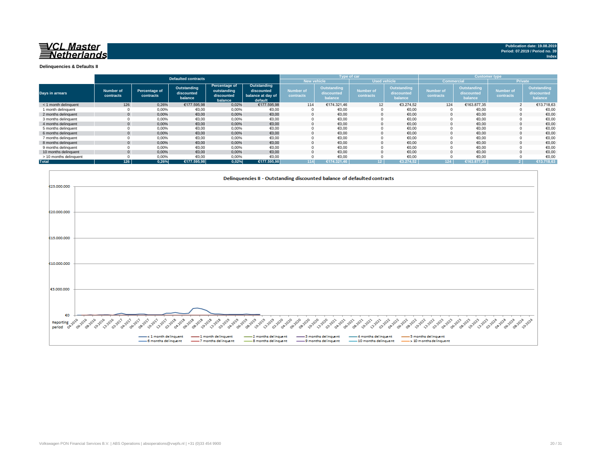![](_page_19_Picture_0.jpeg)

#### **Delinquencies & Defaults II**

|                        |                               |                                          | <b>Defaulted contracts</b>                  |                                                       |                                                           |                               | <b>Type of car</b>                          |                                      |                                             | <b>Customer type</b>          |                                             |                                      |                                             |
|------------------------|-------------------------------|------------------------------------------|---------------------------------------------|-------------------------------------------------------|-----------------------------------------------------------|-------------------------------|---------------------------------------------|--------------------------------------|---------------------------------------------|-------------------------------|---------------------------------------------|--------------------------------------|---------------------------------------------|
|                        |                               |                                          |                                             |                                                       |                                                           | <b>New vehicle</b>            |                                             |                                      | <b>Used vehicle</b>                         | <b>Commercial</b>             |                                             | <b>Private</b>                       |                                             |
| Days in arrears        | <b>Number of</b><br>contracts | <b>Percentage of</b><br><b>contracts</b> | <b>Outstanding</b><br>discounted<br>balance | Percentage of<br>outstanding<br>discounted<br>balance | Outstanding<br>discounted<br>balance at day of<br>default | <b>Number of</b><br>contracts | <b>Outstanding</b><br>discounted<br>balance | <b>Number of</b><br><b>contracts</b> | <b>Outstanding</b><br>discounted<br>balance | <b>Number of</b><br>contracts | <b>Outstanding</b><br>discounted<br>balance | <b>Number of</b><br><b>contracts</b> | <b>Outstanding</b><br>discounted<br>balance |
| < 1 month delinquent   | 126                           | 0,26%                                    | €177.595,98                                 | 0,02%                                                 | €177.595,98                                               | 114                           | €174.321,46                                 | 12                                   | €3.274,52                                   | 124                           | €163.877,35                                 |                                      | €13.718,63                                  |
| 1 month delinquent     |                               | 0,00%                                    | €0,00                                       | 0,00%                                                 | €0,00                                                     |                               | €0,00                                       |                                      | €0,00                                       |                               | €0,00                                       |                                      | €0,00                                       |
| 2 months delinquent    |                               | 0,00%                                    | €0,00                                       | 0,00%                                                 | €0,00                                                     |                               | €0,00                                       | 0                                    | €0,00                                       |                               | €0,00                                       |                                      | €0,00                                       |
| 3 months delinquent    |                               | $0,00\%$                                 | €0,00                                       | 0,00%                                                 | €0,00                                                     |                               | €0,00                                       |                                      | €0,00                                       |                               | €0,00                                       |                                      | €0,00                                       |
| 4 months delinquent    |                               | 0,00%                                    | €0,00                                       | 0,00%                                                 | €0,00                                                     | $\Omega$                      | €0,00                                       | $\Omega$                             | €0,00                                       |                               | €0,00                                       |                                      | €0,00                                       |
| 5 months delinquent    |                               | $0,00\%$                                 | €0,00                                       | 0,00%                                                 | €0,00                                                     |                               | €0,00                                       |                                      | €0,00                                       |                               | €0,00                                       |                                      | €0,00                                       |
| 6 months delinquent    |                               | 0,00%                                    | €0,00                                       | 0,00%                                                 | €0,00                                                     |                               | €0,00                                       |                                      | €0,00                                       |                               | €0,00                                       |                                      | €0,00                                       |
| 7 months delinquent    |                               | 0,00%                                    | €0,00                                       | 0,00%                                                 | €0,00                                                     |                               | €0,00                                       |                                      | €0,00                                       |                               | €0,00                                       |                                      | €0,00                                       |
| 8 months delinguent    |                               | 0,00%                                    | €0,00                                       | 0,00%                                                 | €0,00                                                     |                               | €0,00                                       | $\Omega$                             | €0,00                                       |                               | €0,00                                       |                                      | €0,00                                       |
| 9 months delinquent    |                               | 0,00%                                    | €0,00                                       | 0,00%                                                 | €0,00                                                     |                               | €0,00                                       |                                      | €0,00                                       |                               | €0,00                                       |                                      | €0,00                                       |
| 10 months delinquent   |                               | 0,00%                                    | €0,00                                       | 0,00%                                                 | €0,00                                                     | $\Omega$                      | €0,00                                       | $\Omega$                             | €0,00                                       |                               | €0,00                                       |                                      | €0,00                                       |
| > 10 months delinquent |                               | 0,00%                                    | €0,00                                       | 0,00%                                                 | €0,00                                                     |                               | €0,00                                       |                                      | €0,00                                       |                               | €0,00                                       |                                      | €0,00                                       |
| <b>Total</b>           | 126                           | 0,26%                                    | €177.595,98                                 | 0,02%                                                 | €177.595,98                                               | 114                           | €174.321,46                                 | 12 I                                 | €3.274,52丨                                  | 124                           | £163.877,35                                 |                                      | €13.718,63                                  |

![](_page_19_Figure_3.jpeg)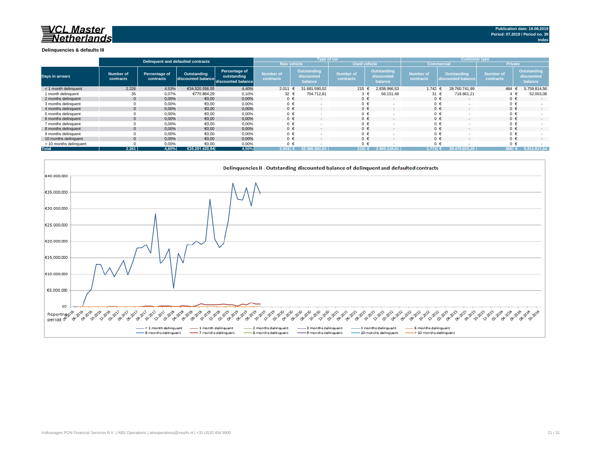| inquent and defaulted contracts                                                                                                                                                                                                   |
|-----------------------------------------------------------------------------------------------------------------------------------------------------------------------------------------------------------------------------------|
|                                                                                                                                                                                                                                   |
|                                                                                                                                                                                                                                   |
|                                                                                                                                                                                                                                   |
|                                                                                                                                                                                                                                   |
|                                                                                                                                                                                                                                   |
|                                                                                                                                                                                                                                   |
|                                                                                                                                                                                                                                   |
|                                                                                                                                                                                                                                   |
| 12 - 1012 - 1012 - 1012 - 1012 - 1012 - 1012 - 1012 - 1012 - 1012 - 1012 - 1012 - 1013 - 1014 - 1013 - 1014 - 1<br>- Simon - Simon - 1012 - 1013 - 1014 - 1015 - 1016 - 1017 - 1018 - 1018 - 1018 - 1018 - 1018 - 1018 - 1018 - 1 |
| months delinquent _________ 5 months delinquent<br>10 months delinquent ----> 10 months delinquent                                                                                                                                |

![](_page_20_Picture_0.jpeg)

#### **Delinquencies & defaults III**

|                        |                        |                                          |                                                      |                              |                                      | <b>Type of car</b>                   |                               |                                             | <b>Customer type</b>          |                                          |                               |                                      |  |
|------------------------|------------------------|------------------------------------------|------------------------------------------------------|------------------------------|--------------------------------------|--------------------------------------|-------------------------------|---------------------------------------------|-------------------------------|------------------------------------------|-------------------------------|--------------------------------------|--|
|                        |                        |                                          | Delinquent and defaulted contracts                   |                              | <b>New vehicle</b>                   |                                      | <b>Used vehicle</b>           |                                             | <b>Commercial</b>             |                                          | <b>Private</b>                |                                      |  |
| Days in arrears        | Number of<br>contracts | <b>Percentage of</b><br><b>contracts</b> | Outstanding<br>discounted balance discounted balance | Percentage of<br>outstanding | <b>Number of</b><br><b>contracts</b> | Outstanding<br>discounted<br>balance | <b>Number of</b><br>contracts | <b>Outstanding</b><br>discounted<br>balance | <b>Number of</b><br>contracts | <b>Outstanding</b><br>discounted balance | <b>Number of</b><br>contracts | Outstanding<br>discounted<br>balance |  |
| < 1 month delinquent   | 2.226                  | 4,53%                                    | €34.520.556,55                                       | 4,40%                        | 2.011                                | 31.681.590,02                        | 215 €                         | 2.838.966,53                                | 1.742 €                       | 28.760.741,99                            | 484 €                         | 5.759.814,56                         |  |
| 1 month delinguent     | 35                     | 0,07%                                    | €770.864,29                                          | 0,10%                        | 32 $\epsilon$                        | 704.712,81                           | $3 \epsilon$                  | 66.151,48                                   | 31 $\epsilon$                 | 718.861,21                               | 4 €                           | 52.003,08                            |  |
| 2 months delinquent    | $\overline{0}$         | 0,00%                                    | €0,00                                                | 0,00%                        | $0 \in$                              | $\sim$                               | $0 \in$                       | $\sim$                                      |                               | $0 \in$<br>$\sim$                        | $0 \in$                       | $\sim$                               |  |
| 3 months delinquent    |                        | 0,00%                                    | €0,00                                                | 0,00%                        | $0 \in$                              |                                      | $0 \in$                       |                                             |                               | $0 \in$                                  | $0 \in$                       |                                      |  |
| 4 months delinguent    | $\Omega$               | 0,00%                                    | €0,00                                                | 0,00%                        | $0 \in$                              | $\sim$                               | $0 \in$                       | $\sim$                                      |                               | $0 \in$<br>$\overline{\phantom{0}}$      | $0 \in$                       | $\sim$                               |  |
| 5 months delinquent    |                        | 0,00%                                    | €0,00                                                | 0,00%                        | $0 \in$                              |                                      | $0 \in$                       |                                             |                               | $0 \in$                                  | $0 \in$                       |                                      |  |
| 6 months delinguent    | $\Omega$               | 0,00%                                    | €0,00                                                | 0,00%                        | $0 \in$                              | $\sim$                               | $0 \in$                       | $\sim$                                      |                               | $0 \in$<br>$\sim$                        | $0 \in$                       | $\sim$                               |  |
| 7 months delinquent    |                        | 0,00%                                    | €0,00                                                | 0,00%                        | $0 \in$                              |                                      | $0 \in$                       |                                             |                               | $0 \in$                                  | $0 \in$                       |                                      |  |
| 8 months delinquent    | $\Omega$               | 0,00%                                    | €0,00                                                | 0,00%                        | $0 \in$                              | $\sim$                               | $0 \in$                       | $\sim$                                      |                               | $0 \in$<br>$\sim$                        | $0 \in$                       |                                      |  |
| 9 months delinquent    |                        | 0,00%                                    | €0,00                                                | 0,00%                        | $0 \in$                              |                                      | $0 \in$                       |                                             |                               | $0 \in$                                  | $0 \in$                       |                                      |  |
| 10 months delinquent   |                        | 0,00%                                    | €0,00                                                | 0,00%                        | $0 \in$                              |                                      | $0 \in$                       |                                             |                               | $0 \in$                                  | $0 \in$                       |                                      |  |
| > 10 months delinquent |                        | 0,00%                                    | €0,00                                                | 0,00%                        | $0 \in$                              |                                      | $0 \in$                       |                                             |                               | $0 \in$                                  | $0 \in$                       |                                      |  |
| <b>Total</b>           | 2.261                  | 4,60%                                    | €35.291.420,84                                       | 4,50%                        | 2.043                                | 32.386.302.83                        | 218                           | 118.01<br>2.905.                            | $1.773$ l                     | <b>29.479.603.20</b> ا                   | ﴾ ∣488                        | 5.811.817,64                         |  |

![](_page_20_Figure_3.jpeg)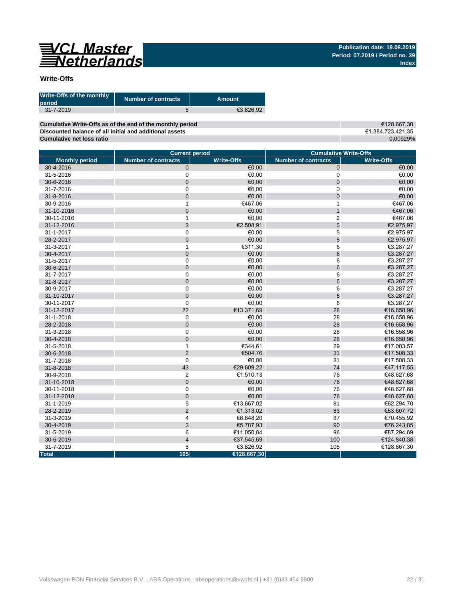# 

#### **Write-Offs**

| <b>Write-Offs of the monthly</b><br><b>period</b> | Number of contracts | <b>Amount</b> |
|---------------------------------------------------|---------------------|---------------|
| $31 - 7 - 2019$                                   |                     | €3.826.92     |

€128.667,30 €1.384.723.421,35 0,00929% **Cumulative Write-Offs as of the end of the monthly period Discounted balance of all initial and additional assets Cumulative net loss ratio**

|                       | <b>Current period</b>      |                   | <b>Cumulative Write-Offs</b> |                   |  |  |  |  |
|-----------------------|----------------------------|-------------------|------------------------------|-------------------|--|--|--|--|
| <b>Monthly period</b> | <b>Number of contracts</b> | <b>Write-Offs</b> | <b>Number of contracts</b>   | <b>Write-Offs</b> |  |  |  |  |
| 30-4-2016             | $\pmb{0}$                  | €0,00             | 0                            | €0,00             |  |  |  |  |
| 31-5-2016             | 0                          | €0,00             | 0                            | €0,00             |  |  |  |  |
| 30-6-2016             | 0                          | €0,00             | $\pmb{0}$                    | €0,00             |  |  |  |  |
| 31-7-2016             | 0                          | €0,00             | 0                            | €0,00             |  |  |  |  |
| 31-8-2016             | 0                          | €0,00             | $\mathsf{O}\xspace$          | €0,00             |  |  |  |  |
| 30-9-2016             | 1                          | €467,06           | 1                            | €467,06           |  |  |  |  |
| 31-10-2016            | 0                          | €0,00             | $\mathbf{1}$                 | €467,06           |  |  |  |  |
| 30-11-2016            | 1                          | €0,00             | $\overline{c}$               | €467,06           |  |  |  |  |
| 31-12-2016            | 3                          | €2.508,91         | 5                            | €2.975,97         |  |  |  |  |
| 31-1-2017             | 0                          | €0,00             | 5                            | €2.975,97         |  |  |  |  |
| 28-2-2017             | 0                          | €0,00             | 5                            | €2.975,97         |  |  |  |  |
| 31-3-2017             | 1                          | €311,30           | 6                            | €3.287,27         |  |  |  |  |
| 30-4-2017             | 0                          | €0,00             | 6                            | €3.287,27         |  |  |  |  |
| 31-5-2017             | 0                          | €0,00             | 6                            | €3.287,27         |  |  |  |  |
| 30-6-2017             | 0                          | €0,00             | 6                            | €3.287,27         |  |  |  |  |
| 31-7-2017             | 0                          | €0,00             | 6                            | €3.287,27         |  |  |  |  |
| 31-8-2017             | 0                          | €0,00             | 6                            | €3.287,27         |  |  |  |  |
| 30-9-2017             | 0                          | €0,00             | 6                            | €3.287,27         |  |  |  |  |
| 31-10-2017            | 0                          | €0,00             | 6                            | €3.287,27         |  |  |  |  |
| 30-11-2017            | 0                          | €0,00             | 6                            | €3.287,27         |  |  |  |  |
| 31-12-2017            | 22                         | €13.371,69        | 28                           | €16.658,96        |  |  |  |  |
| 31-1-2018             | $\pmb{0}$                  | €0,00             | 28                           | €16.658,96        |  |  |  |  |
| 28-2-2018             | $\mathbf 0$                | €0,00             | 28                           | €16.658,96        |  |  |  |  |
| 31-3-2018             | 0                          | €0,00             | 28                           | €16.658,96        |  |  |  |  |
| 30-4-2018             | 0                          | €0,00             | 28                           | €16.658,96        |  |  |  |  |
| 31-5-2018             | 1                          | €344,61           | 29                           | €17.003,57        |  |  |  |  |
| 30-6-2018             | $\overline{2}$             | €504,76           | 31                           | €17.508,33        |  |  |  |  |
| 31-7-2018             | 0                          | €0,00             | 31                           | €17.508,33        |  |  |  |  |
| 31-8-2018             | 43                         | €29.609,22        | 74                           | €47.117,55        |  |  |  |  |
| 30-9-2018             | $\overline{\mathbf{c}}$    | €1.510,13         | 76                           | €48.627,68        |  |  |  |  |
| 31-10-2018            | 0                          | €0,00             | 76                           | €48.627,68        |  |  |  |  |
| 30-11-2018            | 0                          | €0,00             | 76                           | €48.627,68        |  |  |  |  |
| 31-12-2018            | 0                          | €0,00             | 76                           | €48.627,68        |  |  |  |  |
| 31-1-2019             | 5                          | €13.667,02        | 81                           | €62.294,70        |  |  |  |  |
| 28-2-2019             | $\mathbf 2$                | €1.313,02         | 83                           | €63.607,72        |  |  |  |  |
| 31-3-2019             | 4                          | €6.848,20         | 87                           | €70.455,92        |  |  |  |  |
| 30-4-2019             | 3                          | €5.787,93         | 90                           | €76.243,85        |  |  |  |  |
| 31-5-2019             | 6                          | €11.050,84        | 96                           | €87.294,69        |  |  |  |  |
| 30-6-2019             | 4                          | €37.545,69        | 100                          | €124.840,38       |  |  |  |  |
| 31-7-2019             | 5                          | €3.826,92         | 105                          | €128.667,30       |  |  |  |  |
| <b>Total</b>          | 105                        | €128.667,30       |                              |                   |  |  |  |  |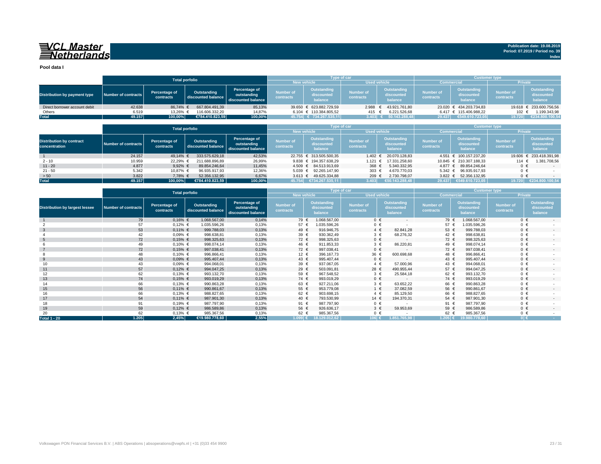# **WARER WASTER**<br>Same Set be reader and set of the set of the set of the set of the set of the set of the set of the set of the set of the set of the set of the set of the set of the set of the set of the set of the set of t

**Pool data I**

|                                                  |                     |                                          | <b>Total porfolio</b>                    |                                                           |                                           |                                             | Type of car                          |                                             | <b>Customer type</b>                 |                                             |                               |                                             |
|--------------------------------------------------|---------------------|------------------------------------------|------------------------------------------|-----------------------------------------------------------|-------------------------------------------|---------------------------------------------|--------------------------------------|---------------------------------------------|--------------------------------------|---------------------------------------------|-------------------------------|---------------------------------------------|
|                                                  |                     |                                          |                                          |                                                           |                                           | <b>New vehicle</b>                          | <b>Used vehicle</b>                  |                                             | <b>Commercial</b>                    |                                             | <b>Private</b>                |                                             |
| Distribution by payment type                     | Number of contracts | Percentage of<br>contracts               | Outstanding<br>discounted balance        | Percentage of<br>outstanding<br>discounted balance        | <b>Number of</b><br><b>contracts</b>      | <b>Outstanding</b><br>discounted<br>balance | <b>Number of</b><br><b>contracts</b> | <b>Outstanding</b><br>discounted<br>balance | <b>Number of</b><br><b>contracts</b> | <b>Outstanding</b><br>discounted<br>balance | <b>Number of</b><br>contracts | <b>Outstanding</b><br>discounted<br>balance |
| Direct borrower account debit                    | 42.638              | 86,74% €                                 | 667.804.491,39                           | 85,13%                                                    |                                           | 39.650 € 623.882.729,59                     | 2.988                                | 43.921.761,80<br>€                          |                                      | 23.020 € 434.203.734,83                     |                               | 19.618 € 233.600.756,56                     |
| Others                                           | 6.519               | 13,26%                                   | 116.606.332,20                           | 14,87%                                                    |                                           | 6.104 € 110.384.805,52                      | 415                                  | 6.221.526,68                                |                                      | $6.417 \text{ } \in 115.406.988,22$         | 102 €                         | 1.199.343,98                                |
| <b>Total</b>                                     | 49.157              | 100,00%                                  | €784.410.823,59                          | 100,00%                                                   |                                           | 45.754 € 734.267.535,11                     | 3.403 $\epsilon$                     | 50.143.288,48                               | 29.437                               | €549.610.723,05                             | 19.720                        | €234.800.100,54                             |
|                                                  |                     |                                          | <b>Total porfolio</b>                    |                                                           |                                           |                                             | Type of car                          |                                             |                                      | <b>Customer type</b>                        |                               |                                             |
|                                                  |                     |                                          |                                          |                                                           | <b>New vehicle</b><br><b>Used vehicle</b> |                                             |                                      |                                             | <b>Commercial</b>                    |                                             | <b>Private</b>                |                                             |
| <b>Distribution by contract</b><br>concentration | Number of contracts | <b>Percentage of</b><br><b>contracts</b> | <b>Outstanding</b><br>discounted balance | <b>Percentage of</b><br>outstanding<br>discounted balance | Number of<br>contracts                    | <b>Outstanding</b><br>discounted<br>balance | <b>Number of</b><br>contracts        | <b>Outstanding</b><br>discounted<br>balance | <b>Number of</b><br>contracts        | <b>Outstanding</b><br>discounted<br>balance | <b>Number of</b><br>contracts | <b>Outstanding</b><br>discounted<br>balance |
|                                                  | 24.157              | 49,14% €                                 | 333.575.629,18                           | 42,53%                                                    |                                           | 22.755 € 313.505.500,35                     | 1.402                                | 20.070.128,83                               |                                      | 4.551 € 100.157.237,20                      | 19.606                        | € 233.418.391,98                            |
| $2 - 10$                                         | 10.959              | 22,29%                                   | 211.688.896,89                           | 26,99%                                                    |                                           | 9.838 € 194.357.638,29                      | 1.121                                | 17.331.258,60                               |                                      | 10.845 € 210.307.188,33                     | 114 €                         | 1.381.708,56                                |
| $11 - 20$                                        | 4.877               | $9,92\%$ €                               | 89.854.246,64                            | 11,45%                                                    | $4.509$ €                                 | 84.513.913,69                               | 368 €                                | 5.340.332,95                                | $4.877$ €                            | 89.854.246,64                               | $0 \in$                       |                                             |
| $21 - 50$                                        | 5.342               | 10,87% €                                 | 96.935.917,93                            | 12,36%                                                    | $5.039 \epsilon$                          | 92.265.147,90                               | 303 $\epsilon$                       | 4.670.770,03                                | 5.342 $€$                            | 96.935.917,93                               | $0 \in$                       |                                             |
| > 50                                             | 3.822               | 7,78% €                                  | 52.356.132,95                            | 6,67%                                                     | $3.613 \in$                               | 49.625.334,88                               | 209 €                                | 2.730.798,07                                | $3.822 \in$                          | 52.356.132,95                               | $0 \in$                       |                                             |
| <b>Total</b>                                     | 49.157              | 100,00%                                  | €784.410.823,59                          | 100,00%                                                   | 45.754                                    | $\sqrt{6734.267.535,11}$                    | 3.403                                | $\bm{\epsilon}$ 50.143.288,48 $^\top$       | 29.437                               | €549.610.723,05                             | 19.720                        | 00.100, 54<br>€234.                         |

|                                       |                            |                                          | <b>Total porfolio</b>                    |                                                    |                               |                                             | Type of car                   |                                             | <b>Customer type</b>          |                                             |                        |                                             |
|---------------------------------------|----------------------------|------------------------------------------|------------------------------------------|----------------------------------------------------|-------------------------------|---------------------------------------------|-------------------------------|---------------------------------------------|-------------------------------|---------------------------------------------|------------------------|---------------------------------------------|
|                                       |                            |                                          |                                          |                                                    | <b>New vehicle</b>            |                                             | <b>Used vehicle</b>           |                                             | <b>Commercial</b>             |                                             | <b>Private</b>         |                                             |
| <b>Distribution by largest lessee</b> | <b>Number of contracts</b> | <b>Percentage of</b><br><b>contracts</b> | <b>Outstanding</b><br>discounted balance | Percentage of<br>outstanding<br>discounted balance | <b>Number of</b><br>contracts | <b>Outstanding</b><br>discounted<br>balance | <b>Number of</b><br>contracts | <b>Outstanding</b><br>discounted<br>balance | <b>Number of</b><br>contracts | <b>Outstanding</b><br>discounted<br>balance | Number of<br>contracts | <b>Outstanding</b><br>discounted<br>balance |
|                                       | 79                         | $0,16%$ €                                | 1.068.567,00                             | 0,14%                                              | 79 €                          | 1.068.567,00                                | $0 \in$                       | $\sim$ 10 $\pm$                             | 79 €                          | 1.068.567,00                                | $0 \in$                | $\sim$                                      |
|                                       | 57                         | $0,12%$ €                                | 1.035.596,26                             | 0,13%                                              | 57 $\epsilon$                 | 1.035.596,26                                | $0 \in$                       |                                             | 57 €                          | 1.035.596,26                                | $0 \in$                |                                             |
| $\mathbf{3}$                          | 53                         | $0,11\%$ €                               | 999.788,03                               | 0,13%                                              | 49 €                          | 916.946,75                                  | $4 \epsilon$                  | 82.841,28                                   | 53 $\epsilon$                 | 999.788,03                                  | $0 \in$                | $\sim 100$                                  |
|                                       | 42                         | $0,09%$ €                                | 998.638,81                               | 0,13%                                              | 39 €                          | 930.362,49                                  | $3 \in$                       | 68.276,32                                   | 42 €                          | 998.638,81                                  | $0 \in$                |                                             |
| -5                                    | 72                         | $0,15%$ €                                | 998.325,63                               | 0,13%                                              | 72 €                          | 998.325,63                                  | $0 \in$                       |                                             | 72 €                          | 998.325,63                                  | $0 \in$                |                                             |
|                                       | 49                         | $0,10%$ €                                | 998.074,14                               | 0,13%                                              | 46 €                          | 911.853,33                                  | $3 \epsilon$                  | 86.220,81                                   | 49 €                          | 998.074,14                                  | $0 \in$                |                                             |
|                                       | 72                         | $0,15%$ €                                | 997.038,41                               | 0,13%                                              | 72 €                          | 997.038,41                                  | $0 \in$                       |                                             | 72 €                          | 997.038,41                                  | $0 \in$                | $\sim 100$                                  |
|                                       | 48                         | $0,10%$ €                                | 996.866,41                               | 0,13%                                              | 12 €                          | 396.167,73                                  | 36 €                          | 600.698,68                                  | 48 €                          | 996.866,41                                  | $0 \in$                |                                             |
| 9                                     | 43                         | $0,09%$ €                                | 995.407,44                               | 0,13%                                              | 43 €                          | 995.407,44                                  | $0 \in$                       | $\sim$                                      | 43 $\epsilon$                 | 995.407,44                                  | $0 \in$                | $\sim$                                      |
| 10                                    | 43                         | $0,09%$ €                                | 994.068,01                               | 0,13%                                              | 39 €                          | 937.067,05                                  | $4 \in$                       | 57.000,96                                   | 43 €                          | 994.068,01                                  | $0 \in$                |                                             |
| 11                                    | 57                         | $0,12%$ €                                | 994.047,25                               | 0,13%                                              | 29 $\epsilon$                 | 503.091,81                                  | 28 $\epsilon$                 | 490.955,44                                  | 57 $\epsilon$                 | 994.047,25                                  | $0 \in$                | $\sim 100$                                  |
| 12 <sup>2</sup>                       | 62                         | $0,13%$ €                                | 993.132,70                               | 0,13%                                              | 59 €                          | 967.548,52                                  | $3 \in$                       | 25.584,18                                   | 62 €                          | 993.132,70                                  | $0 \in$                |                                             |
| 13                                    | 74                         | $0,15%$ €                                | 993.019,29                               | 0,13%                                              | 74 €                          | 993.019,29                                  | $0 \in$                       |                                             | 74 €                          | 993.019,29                                  | $0 \in$                | $\sim 100$                                  |
| 14                                    | 66                         | $0,13%$ €                                | 990.863,28                               | 0,13%                                              | 63 $\epsilon$                 | 927.211,06                                  | $3 \in$                       | 63.652,22                                   | 66 €                          | 990.863,28                                  | $0 \in$                |                                             |
| 15                                    | 56                         | $0,11\%$ €                               | 990.861,67                               | 0,13%                                              | 55 $\epsilon$                 | 953.779,08                                  | $1 \in$                       | 37.082,59                                   | 56 €                          | 990.861,67                                  | $0 \in$                | $\sim 100$                                  |
| 16                                    | 66                         | $0,13%$ €                                | 988.827,65                               | 0,13%                                              | 62 €                          | 903.698,15                                  | $4 \in$                       | 85.129,50                                   | 66 €                          | 988.827,65                                  | $0 \in$                |                                             |
| 17                                    | 54                         | $0,11\%$ €                               | 987.901,30                               | 0,13%                                              | 40 €                          | 793.530,99                                  | 14 $\epsilon$                 | 194.370,31                                  | 54 €                          | 987.901,30                                  | $0 \in$                | $\sim$ 10 $\pm$                             |
| 18                                    | 91                         | $0,19%$ €                                | 987.797,90                               | 0,13%                                              | 91 €                          | 987.797,90                                  | $0 \in$                       |                                             | 91 €                          | 987.797,90                                  | $0 \in$                |                                             |
| 19                                    | 59                         | $0,12%$ €                                | 986.589,86                               | 0,13%                                              | 56 €                          | 926.636,17                                  | $3 \in$                       | 59.953,69                                   | 59 €                          | 986.589,86                                  | $0 \in$                | $\sim$                                      |
| 20                                    | 62                         | $0,13%$ €                                | 985.367,56                               | 0,13%                                              | 62 €                          | 985.367,56                                  | $0 \in$                       |                                             | 62 $\epsilon$                 | 985.367,56                                  | $0 \in$                |                                             |
| <b>Total 1 - 20</b>                   | 1.205                      | 2,45%                                    | €19.980.778,60                           | 2,55%                                              |                               | $1.099$ € 18.129.012,62                     | 106 $\epsilon$                | 1.851.765,98                                | 1.205  €                      | 19.980.778,60                               | $0 \in$                | <b>Contractor</b>                           |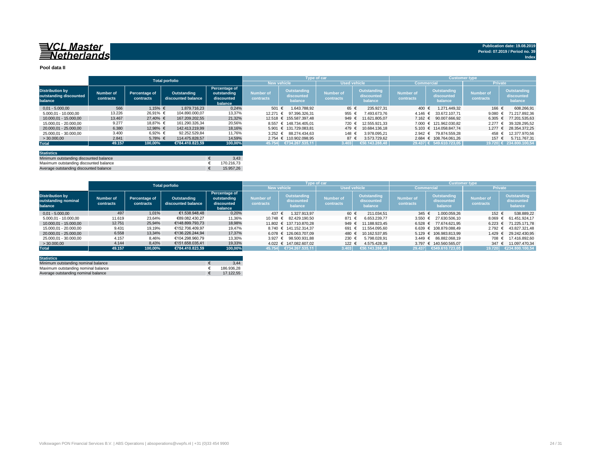# **SAL Master**<br>Saletherlands

## **Pool data II**

|                                                             |                               |                            | <b>Total porfolio</b>             |                                                       |                               |                                             | <b>Type of car</b>            |                                             | <b>Customer type</b>                 |                                             |                               |                                             |
|-------------------------------------------------------------|-------------------------------|----------------------------|-----------------------------------|-------------------------------------------------------|-------------------------------|---------------------------------------------|-------------------------------|---------------------------------------------|--------------------------------------|---------------------------------------------|-------------------------------|---------------------------------------------|
|                                                             |                               |                            |                                   |                                                       |                               | <b>New vehicle</b>                          | Used vehicle                  |                                             |                                      | <b>Commercial</b>                           | <b>Private</b>                |                                             |
| <b>Distribution by</b><br>outstanding discounted<br>balance | <b>Number of</b><br>contracts | Percentage of<br>contracts | Outstanding<br>discounted balance | Percentage of<br>outstanding<br>discounted<br>balance | <b>Number of</b><br>contracts | <b>Outstanding</b><br>discounted<br>balance | <b>Number of</b><br>contracts | <b>Outstanding</b><br>discounted<br>balance | <b>Number of</b><br><b>contracts</b> | <b>Outstanding</b><br>discounted<br>balance | <b>Number of</b><br>contracts | <b>Outstanding</b><br>discounted<br>balance |
| $0,01 - 5.000,00$                                           | 566                           | $1,15%$ €                  | 1.879.716,23                      | 0,24%                                                 | 501 €                         | 1.643.788,92                                | 65 €                          | 235.927,31                                  | 400 €                                | 1.271.449,32                                | 166 €                         | 608.266,91                                  |
| 5.000,01 - 10.000,00                                        | 13.226                        | 26,91% €                   | 104.890.000,07                    | 13,37%                                                | 12.271 €                      | 97.396.326,31                               | 955 €                         | 493.673.76                                  | 4.146 $€$                            | 33.672.107,71                               | 9.080                         | 71.217.892,36                               |
| 10.000,01 - 15.000,00                                       | 13.467                        | $27,40%$ €                 | 167.209.202,55                    | 21,32%                                                |                               | 12.518 € 155.587.397,48                     | 949 €                         | 11.621.805,07                               | 7.162 $€$                            | 90.007.666,92                               | 6.305                         | 77.201.535,63<br>€                          |
| 15.000,01 - 20.000,00                                       | 9.277                         | 18,87% €                   | 161.290.326,34                    | 20,56%                                                |                               | 8.557 € 148.734.405,01                      | 720 €                         | 12.555.921,33                               |                                      | 7.000 € 121.962.030,82                      | 2.277                         | 39.328.295,52                               |
| 20.000,01 - 25.000,00                                       | 6.380                         | 12,98% €                   | 142.413.219.99                    | 18,16%                                                |                               | 5.901 € 131.729.083,81                      | 479                           | 10.684.136,18                               |                                      | 5.103 € 114.058.847,74                      | 1.277                         | 28.354.372,25                               |
| 25.000,01 - 30.000,00                                       | 3.400                         | 6,92% €                    | 92.252.529,84                     | 11,76%                                                |                               | $3.252 \text{ } \in \text{ } 88.274.434,63$ | 148 €                         | 3.978.095,21                                |                                      | 2.942 € 79.874.559,28                       | 458 €                         | 12.377.970,56                               |
| >30.000,00                                                  | 2.841                         | 5,78% €                    | 114.475.828,57                    | 14,59%                                                |                               | 2.754 € 110.902.098,95                      | 87 $\epsilon$                 | 3.573.729,62                                |                                      | 2.684 € 108.764.061,26                      | 157 €                         | 5.711.767,31                                |
| <b>Total</b>                                                | 49.157                        | 100,00%                    | €784.410.823,59                   | 100,00%                                               | 45.754                        | $\sqrt{2734.267.535,11}$                    | 3.403                         | €50.143.288,48                              |                                      | $ 29.437 $ € 549.610.723,05                 |                               | 19.720 € 234.800.100,54                     |
| <b>Statistics</b><br>.                                      |                               |                            |                                   |                                                       |                               |                                             |                               |                                             |                                      |                                             |                               |                                             |

| Minimum outstanding discounted balance | 3.43       |
|----------------------------------------|------------|
| Maximum outstanding discounted balance | 170.216.73 |
| Average outstanding discounted balance | 15.957.26  |

|                                                          |                               |                                   | <b>Total porfolio</b>             |                                                       |                                      |                                             | Type of car                   |                                      | <b>Customer type</b>          |                                             |                               |                                             |
|----------------------------------------------------------|-------------------------------|-----------------------------------|-----------------------------------|-------------------------------------------------------|--------------------------------------|---------------------------------------------|-------------------------------|--------------------------------------|-------------------------------|---------------------------------------------|-------------------------------|---------------------------------------------|
|                                                          |                               |                                   |                                   |                                                       | <b>New vehicle</b>                   |                                             | <b>Used vehicle</b>           |                                      | <b>Commercial</b>             |                                             | <b>Private</b>                |                                             |
| <b>Distribution by</b><br>outstanding nominal<br>balance | <b>Number of</b><br>contracts | Percentage of<br><b>contracts</b> | Outstanding<br>discounted balance | Percentage of<br>outstanding<br>discounted<br>balance | <b>Number of</b><br><b>contracts</b> | <b>Outstanding</b><br>discounted<br>balance | <b>Number of</b><br>contracts | Outstanding<br>discounted<br>balance | <b>Number of</b><br>contracts | <b>Outstanding</b><br>discounted<br>balance | <b>Number of</b><br>contracts | <b>Outstanding</b><br>discounted<br>balance |
| $0,01 - 5.000,00$                                        | 497                           | 1,01%                             | €1.538.948,48                     | 0,20%                                                 | 437 €                                | 1.327.913,97                                | 60 $\epsilon$                 | 211.034,51                           | 345 €                         | 1.000.059,26                                | 152 €                         | 538.889,22                                  |
| 5.000,01 - 10.000,00                                     | 11.619                        | 23,64%                            | €89.082.430,27                    | 11,36%                                                | 10.748 €                             | 82.429.190.50                               | 871 €                         | 6.653.239,77                         | 3.550                         | 27.630.506,10                               | 8.069                         | 61.451.924,17                               |
| 10.000,01 - 15.000,00                                    | 12.751                        | 25,94%                            | €148.899.793,73                   | 18,98%                                                |                                      | 11.802 € 137.710.870,28                     | 949 €                         | 11.188.923,45                        |                               | $6.528$ € 77.674.621,95                     | $6.223$ €                     | 71.225.171,78                               |
| 15.000,01 - 20.000,00                                    | 9.431                         | 19,19%                            | €152.706.409,97                   | 19,47%                                                |                                      | 8.740 € 141.152.314,37                      | 691                           | 11.554.095,60                        |                               | 6.639 € 108.879.088,49                      | $2.792$ €                     | 43.827.321,48                               |
| 20.000,01 - 25.000,00                                    | 6.558                         | 13,34%                            | €136.226.244,94                   | 17,37%                                                |                                      | $6.078 \in 126.063.707.09$                  | 480 €                         | 10.162.537,85                        |                               | 5.129 € 106.983.813,99                      | 1.429                         | 29.242.430,95                               |
| 25.000,01 - 30.000,00                                    | 4.157                         | 8,46%                             | €104.298.960,79                   | 13,30%                                                |                                      | 3.927 € 98.500.931,88                       | 230 €                         | 5.798.028,91                         |                               | $3.449 \text{ } \in \text{ } 86.882.068,19$ | 708 €                         | 17.416.892,60                               |
| > 30.000,00                                              | 4.144                         | 8,43%                             | €151.658.035,41                   | 19,33%                                                |                                      | 4.022 € 147.082.607,02                      | 122 €                         | 4.575.428,39                         |                               | 3.797 € 140.560.565,07                      | $347 \epsilon$                | 11.097.470,34                               |
| <b>Total</b>                                             | 49.157                        | 100,00%                           | €784.410.823,59                   | 100,00%                                               |                                      | $\overline{)45.754 }$ €734.267.535,11       | 3.403                         | 650.143.288,48                       |                               | 29.437 €549.610.723,05                      | 19.720                        | €234.800.100,54                             |
|                                                          |                               |                                   |                                   |                                                       |                                      |                                             |                               |                                      |                               |                                             |                               |                                             |

| <b>Statistics</b>                   |            |
|-------------------------------------|------------|
| Minimum outstanding nominal balance | 3.44       |
| Maximum outstanding nominal balance | 186.936,28 |
| Average outstanding nominal balance | 17.122.55  |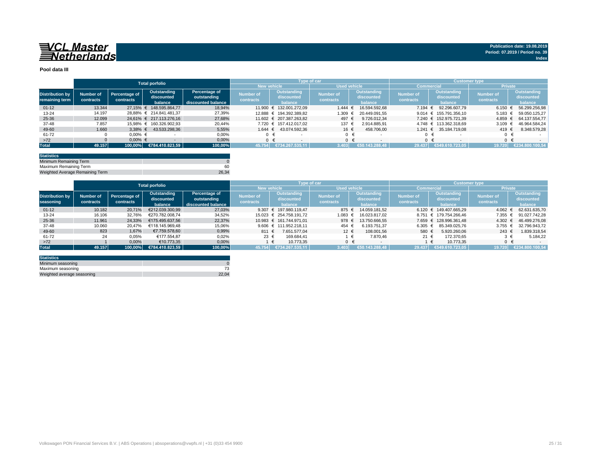# **EXCL Master**

## **Pool data III**

|                        |                  |               | <b>Total porfolio</b>              |                    |                  | Type of car             |                     |                          | <b>Customer type</b> |                                     |                  |                    |
|------------------------|------------------|---------------|------------------------------------|--------------------|------------------|-------------------------|---------------------|--------------------------|----------------------|-------------------------------------|------------------|--------------------|
|                        |                  |               |                                    |                    |                  | <b>New vehicle</b>      | <b>Used vehicle</b> |                          |                      | <b>Commercial</b>                   | <b>Private</b>   |                    |
| <b>Distribution by</b> | <b>Number of</b> | Percentage of | Outstanding                        | Percentage of      | <b>Number of</b> | <b>Outstanding</b>      | <b>Number of</b>    | Outstanding              | <b>Number of</b>     | <b>Outstanding</b>                  | <b>Number of</b> | <b>Outstanding</b> |
| remaining term         | contracts        | contracts     | discounted                         | outstanding        | <b>contracts</b> | discounted              | <b>contracts</b>    | discounted               | <b>contracts</b>     | discounted                          | contracts        | discounted         |
|                        |                  |               | balance                            | discounted balance |                  | balance                 |                     | balance                  |                      | balance                             |                  | balance            |
| $01 - 12$              | 13.344           |               | 27,15% € 148.595.864,77            | 18,94%             |                  | 11.900 € 132.001.272,09 | 1.444               | 16.594.592,68            | 7.194 €              | 92.296.607,79                       | 6.150 €          | 56.299.256,98      |
| 13-24                  | 14.197           |               | 28,88% € 214.841.481,37            | 27,39%             |                  | 12.888 € 194.392.389,82 | 1.309               | 20.449.091,55            |                      | 9.014 $\in$ 155.791.356,10          | 5.183 $€$        | 59.050.125,27      |
| 25-36                  | 12.099           |               | 24,61% € 217.113.276,16            | 27,68%             |                  | 11.602 € 207.387.263,82 | 497 €               | 9.726.012,34             |                      | 7.240 € 152.975.721,39              | $4.859$ €        | 64.137.554,77      |
| 37-48                  | 7.857            |               | 15,98% € 160.326.902,93            | 20,44%             |                  | 7.720 € 157.412.017,02  | 137 €               | 2.914.885,91             |                      | 4.748 € 113.362.318,69              | $3.109$ €        | 46.964.584,24      |
| 49-60                  | 1.660            | $3,38%$ €     | 43.533.298,36                      | 5,55%              | 1.644 €          | 43.074.592,36           | 16 €                | 458.706,00               |                      | $1.241 \text{ } \in 35.184.719,08$  | 419 €            | 8.348.579,28       |
| 61-72                  |                  | $0,00%$ €     |                                    | 0,00%              |                  | $0 \in$                 | $0 \in$             | $\overline{\phantom{a}}$ |                      | 0 €                                 | $0 \in$          |                    |
| $>72$                  |                  | $0,00%$ €     |                                    | 0,00%              |                  | $0 \in$                 | $0 \in$             |                          |                      | $0 \in$<br>$\overline{\phantom{0}}$ | $0 \in$          | $\sim$             |
| <b>Total</b>           | 49.157           |               | $ 100{,}00\% $ €784.410.823,59 $ $ | 100,00%            | 45.754           | €734.267.535,11         | 3.403               | $\sqrt{650.143.288,48}$  | 29.437               | €549.610.723,05                     | 19.720           | €234.800.100,54    |
|                        |                  |               |                                    |                    |                  |                         |                     |                          |                      |                                     |                  |                    |

|                        | <b>Total porfolio</b> |               |                 |                    |                    |                          | Type of car      |                     | <b>Customer type</b> |                                     |                      |                    |
|------------------------|-----------------------|---------------|-----------------|--------------------|--------------------|--------------------------|------------------|---------------------|----------------------|-------------------------------------|----------------------|--------------------|
|                        |                       |               |                 |                    | <b>New vehicle</b> |                          |                  | <b>Used vehicle</b> | <b>Commercial</b>    |                                     | <b>Private</b>       |                    |
| <b>Distribution by</b> | <b>Number of</b>      | Percentage of | Outstanding     | Percentage of      | <b>Number of</b>   | <b>Outstanding</b>       | <b>Number of</b> | Outstanding         | <b>Number of</b>     | Outstanding                         | <b>Number of</b>     | <b>Outstanding</b> |
| seasoning              |                       | contracts     | discounted      | outstanding        | <b>contracts</b>   | discounted               |                  | discounted          | <b>contracts</b>     | discounted                          |                      | discounted         |
|                        | contracts             |               | balance         | discounted balance |                    | balance                  | <b>contracts</b> | balance             |                      | balance                             | <b>contracts</b>     | balance            |
| $01 - 12$              | 10.182                | 20,71%        | €212.039.300,99 | 27,03%             |                    | 9.307 € 197.980.119,47   | $875 \in$        | 14.059.181,52       |                      | $6.120 \text{ } \in 149.407.665,29$ | $4.062 \text{ } \in$ | 62.631.635,70      |
| 13-24                  | 16.106                | 32,76%        | €270.782.008,74 | 34,52%             |                    | 15.023 € 254.758.191,72  | 1.083 $€$        | 16.023.817,02       |                      | 8.751 € 179.754.266,46              | 7.355 $€$            | 91.027.742,28      |
| 25-36                  | 11.961                | 24,33%        | €175.495.637,56 | 22,37%             |                    | 10.983 € 161.744.971,01  | 978 €            | 13.750.666,55       |                      | 7.659 € 128.996.361,48              | $4.302 \text{ }€$    | 46.499.276,08      |
| 37-48                  | 10.060                | 20,47%        | €118.145.969,48 | 15,06%             |                    | $9.606$ € 111.952.218,11 | 454 €            | 6.193.751,37        | 6.305                | 85.349.025,76                       | $3.755 \in$          | 32.796.943,72      |
| 49-60                  | 823                   | 1,67%         | €7.759.578,60   | 0,99%              | 811 €              | 7.651.577,04             | 12 $\epsilon$    | 108.001,56          | 580 €                | 5.920.260,06                        | 243 €                | 1.839.318,54       |
| 61-72                  | 24                    | 0,05%         | €177.554,87     | 0,02%              | 23 $\epsilon$      | 169.684,41               |                  | 7.870,46            | 21 $\epsilon$        | 172.370,65                          | $3 \epsilon$         | 5.184,22           |
| $>72$                  |                       | 0,00%         | €10.773,35      | 0,00%              |                    | 10.773,35<br>€           |                  | $0 \in$             |                      | 10.773,35                           |                      |                    |
| <b>Total</b>           | 49.157                | $100,00\%$    | €784.410.823,59 | 100,00%            | 45.754             | €734.267.535,11          | 3.403            | €50.143.288,48      | 29.437               | €549.610.723,05                     | 19.720               | €234.800.100,54    |

| <b>Statistics</b>          |       |
|----------------------------|-------|
| Minimum seasoning          |       |
| Maximum seasoning          | 73    |
| Weighted average seasoning | 22.04 |

| <b>Statistics</b>               |       |
|---------------------------------|-------|
| Minimum Remaining Term          |       |
| Maximum Remaining Term          | 60    |
| Weighted Average Remaining Term | 26,34 |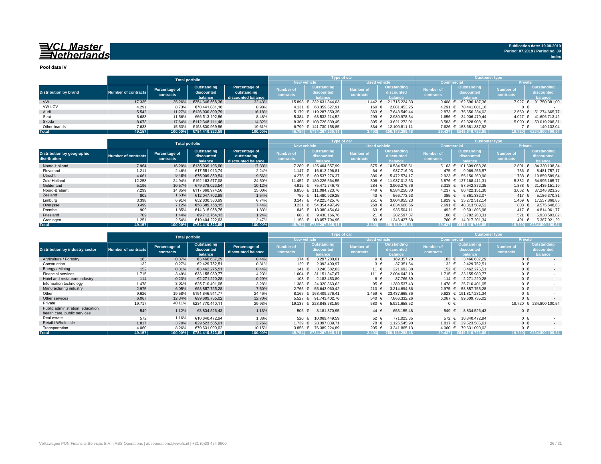# **WARER WASTER**<br>Same Set be reader and set of the set of the set of the set of the set of the set of the set of the set of the set of the set of the set of the set of the set of the set of the set of the set of the set of t

### **Pool data IV**

|                              |                     |               | <b>Total porfolio</b>      |                      |                    | Type of car                                 |                     |                       | <b>Customer type</b> |                                     |                  |                                             |
|------------------------------|---------------------|---------------|----------------------------|----------------------|--------------------|---------------------------------------------|---------------------|-----------------------|----------------------|-------------------------------------|------------------|---------------------------------------------|
|                              |                     |               |                            |                      | <b>New vehicle</b> |                                             | <b>Used vehicle</b> |                       | <b>Commercial</b>    |                                     | <b>Private</b>   |                                             |
|                              |                     | Percentage of | Outstanding                | <b>Percentage of</b> | <b>Number of</b>   | <b>Outstanding</b>                          | <b>Number of</b>    | Outstanding           | <b>Number of</b>     | <b>Outstanding</b>                  | <b>Number of</b> | <b>Outstanding</b>                          |
| <b>Distribution by brand</b> | Number of contracts |               | discounted                 | outstanding          |                    | discounted                                  |                     | discounted            |                      | discounted                          |                  | discounted                                  |
|                              |                     | contracts     | balance                    | discounted balance   | <b>contracts</b>   | balance                                     | <b>contracts</b>    | <b>balance</b>        | <b>contracts</b>     | balance                             | <b>contracts</b> | balance                                     |
| VW                           | 17.335              | 35,26%        | €254.346.568,36            | 32,43%               |                    | 15.893 € 232.631.344,03                     |                     | 1.442 € 21.715.224,33 |                      | $9.408 \text{ } \in 162.596.187,36$ |                  | 7.927 € 91.750.381,00                       |
| <b>VW LCV</b>                | 4.291               | 8,73%         | €70.441.081,16             | 8,98%                |                    | 4.131 € 68.359.627,91                       | 160 €               | 2.081.453,25          |                      | 4.291 € 70.441.081,16               |                  |                                             |
| Audi                         | 5.542               | 11,27%        | €126.930.899,79            | 16,18%               |                    | 5.179 € 119.287.350,35                      | 363 $€$             | 7.643.549,44          |                      | 2.873 € 75.656.234,02               |                  | 2.669 € 51.274.665,77                       |
| Seat                         | 5.683               | 11,56%        | €66.513.192,86             | 8,48%                |                    | $5.384 \text{ } \in \text{ } 63.532.214,52$ | 299 €               | 2.980.978,34          |                      | 1.656 € 24.906.479,44               |                  | 4.027 € 41.606.713,42                       |
| Skoda                        | 8.673               | 17.64%        | €112.348.111,46            | 14,32%               |                    | 8.368 € 108.726.839,45                      | 305 €               | 3.621.272,01          |                      | $3.583$ € 62.328.903,15             |                  | $5.090 \text{ } \in \text{ } 50.019.208,31$ |
| Other brands                 | 7.633               | 15,53%        | €153.830.969,96            | 19,61%               |                    | $6.799 \text{ } \in 141.730.158,85$         | 834 €               | 12.100.811,11         |                      | 7.626 € 153.681.837,92              |                  | 149.132,04                                  |
| <b>Total</b>                 | 49.157              |               | $100,00\%$ €784.410.823,59 | 100,00%              | 45.754             | €734.267.535,11                             | 3.403               | €50.143.288,48        | 29.437               | $\in$ 549.610.723,05 $\mid$         | 19.720           | €234.800.100,54                             |

|                                                   | <b>Total porfolio</b> |                                   |                                      |                                                    | <b>Type of car</b>            |                                                    |                                      |                                             | <b>Customer type</b>          |                                             |                                      |                                             |
|---------------------------------------------------|-----------------------|-----------------------------------|--------------------------------------|----------------------------------------------------|-------------------------------|----------------------------------------------------|--------------------------------------|---------------------------------------------|-------------------------------|---------------------------------------------|--------------------------------------|---------------------------------------------|
|                                                   |                       |                                   |                                      |                                                    |                               | <b>New vehicle</b>                                 | <b>Used vehicle</b>                  |                                             | <b>Commercial</b>             |                                             | <b>Private</b>                       |                                             |
| <b>Distribution by geographic</b><br>distribution | Number of contracts   | Percentage of<br><b>contracts</b> | Outstanding<br>discounted<br>balance | Percentage of<br>outstanding<br>discounted balance | <b>Number of</b><br>contracts | <b>Outstanding</b><br><b>discounted</b><br>balance | <b>Number of</b><br><b>contracts</b> | <b>Outstanding</b><br>discounted<br>balance | <b>Number of</b><br>contracts | <b>Outstanding</b><br>discounted<br>balance | <b>Number of</b><br><b>contracts</b> | Outstanding<br>discounted<br><b>balance</b> |
| Noord-Holland                                     | 7.964                 | 16,20%                            | €135.939.196,60                      | 17,33%                                             |                               | 7.289 € 125.404.657,99                             | $675 \in$                            | 10.534.538,61                               | $5.163 \in$                   | 101.609.058,26                              | 2.801                                | 34.330.138,34                               |
| Flevoland                                         | 1.211                 | 2,46%                             | €17.551.013,74                       | 2,24%                                              | 1.147 $∈$                     | 16.613.296,81                                      | 64 €                                 | 937.716,93                                  | 475 €                         | 9.069.256,57                                | 736 €                                | 8.481.757,17                                |
| Utrecht                                           | 4.661                 | 9,48%                             | €75.009.850,54                       | 9,56%                                              |                               | 4.275 € 69.537.276,37                              | 386 €                                | 5.472.574,17                                | $2.923$ €                     | 55.150.260,90                               | $1.738$ €                            | 19.859.589,64                               |
| Zuid-Holland                                      | 12.258                | 24,94%                            | €192.163.577,08                      | 24,50%                                             |                               | 11.452 € 180.226.564,55                            | 806 $\epsilon$                       | 11.937.012,53                               |                               | 6.876 € 127.168.411,31                      | 5.382                                | 64.995.165,77                               |
| Gelderland                                        | 5.196                 | 10,57%                            | €79.378.023,54                       | 10,12%                                             |                               | 4.912 € 75.471.746,78                              | 284 €                                | 3.906.276,76                                | 3.318 $\epsilon$              | 57.942.872,35                               | 1.878 €                              | 21.435.151,19                               |
| Noord-Brabant                                     | 7.299                 | 14,85%                            | €117.668.974,56                      | 15,00%                                             |                               | 6.850 € 111.084.723,76                             | 449 €                                | 6.584.250,80                                | $4.237 \text{ } \in$          | 80.422.151,30                               | $3.062 \text{ } \in$                 | 37.246.823,26                               |
| Zeeland                                           | 802                   | 1,63%                             | €12.047.702,88                       | 1,54%                                              |                               | 759 € 11.480.929,25                                | 43 $\epsilon$                        | 566.773,63                                  | 385 $\epsilon$                | 6.861.332,07                                | 417 €                                | 5.186.370,81                                |
| Limburg                                           | 3.398                 | 6,91%                             | €52.830.380,99                       | 6,74%                                              | $3.147 \text{ } \in$          | 49.225.425,76                                      | 251 €                                | 3.604.955,23                                | 1.929                         | 35.272.512,14                               | 1.469                                | 17.557.868,85                               |
| Overijssel                                        | 3.499                 | 7,12%                             | €58.389.158,15                       | 7,44%                                              | $3.231 \text{ } \in$          | 54.354.497,49                                      | 268 €                                | 4.034.660.66                                | $2.691 \text{ }€$             | 48.813.509,52                               | 808 €                                | 9.575.648,63                                |
| Drenthe                                           | 909                   | 1,85%                             | €14.315.958,75                       | 1,83%                                              | 846 €                         | 13.380.454,64                                      | 63 €                                 | 935.504,11                                  | 492 €                         | 9.501.896,98                                | 417 €                                | 4.814.061,77                                |
| Friesland                                         | 709                   | 1,44%                             | €9.712.764,13                        | 1,24%                                              | 688 €                         | 9.430.166,76                                       | 21 $\epsilon$                        | 282.597,37                                  | 188 €                         | 3.782.260,31                                | 521 €                                | 5.930.503,82                                |
| Groningen                                         | 1.251                 | 2,54%                             | €19.404.222,63                       | 2,47%                                              | 1.158 €                       | 18.057.794,95                                      | 93 $\epsilon$                        | 1.346.427,68                                | 760 €                         | 14.017.201,34                               | 491                                  | 5.387.021,29                                |
| <b>Total</b>                                      | 49.157                |                                   | 100,00% €784.410.823,59              | 100,00%                                            | 45.754                        | €734.267.535,11                                    | 3.4031                               | €50.143.288,48                              | 29.437                        | €549.610.723,05                             | 19.720                               | €234.800.100,54                             |

|                                                                   | <b>Total porfolio</b>      |                            |                                      |                                            | Type of car                          |                                      |                               |                                             | <b>Customer type</b>                 |                                                    |                                      |                                             |
|-------------------------------------------------------------------|----------------------------|----------------------------|--------------------------------------|--------------------------------------------|--------------------------------------|--------------------------------------|-------------------------------|---------------------------------------------|--------------------------------------|----------------------------------------------------|--------------------------------------|---------------------------------------------|
|                                                                   |                            |                            |                                      |                                            | <b>New vehicle</b>                   |                                      | Used vehicle                  |                                             | <b>Commercial</b>                    |                                                    | <b>Private</b>                       |                                             |
| <b>Distribution by industry sector</b>                            | <b>Number of contracts</b> | Percentage of<br>contracts | Outstanding<br>discounted<br>balance | <b>Percentage of</b><br>discounted balance | <b>Number of</b><br><b>contracts</b> | Outstanding<br>discounted<br>balance | <b>Number of</b><br>contracts | <b>Outstanding</b><br>discounted<br>balance | <b>Number of</b><br><b>contracts</b> | <b>Outstanding</b><br>discounted<br><b>balance</b> | <b>Number of</b><br><b>contracts</b> | <b>Outstanding</b><br>discounted<br>balance |
| Agriculture / Forestry                                            | 183                        | 0,37%                      | €3.466.637,29                        | 0,44%                                      | 174 €                                | 3.297.280,01                         | $9 \epsilon$                  | 169.357,28                                  | 183 €                                | 3.466.637,29                                       | $0 \in$                              | $\sim$                                      |
| Construction                                                      | 132                        | 0,27%                      | €2.429.752,51                        | 0,31%                                      | 129 €                                | 2.392.400,97                         | $3 \epsilon$                  | 37.351,54                                   | 132 €                                | 2.429.752,51                                       | $0 \in$                              |                                             |
| Energy / Mining                                                   | 152                        | 0,31%                      | €3.462.275,51                        | 0,44%                                      | 141 €                                | 3.240.582,63                         | 11 €                          | 221.692,88                                  | 152 €                                | 3.462.275,51                                       | $0 \in$                              | $\sim$                                      |
| <b>Financial services</b>                                         | 1.715                      | 3,49%                      | €33.155.989,77                       | 4,23%                                      | 1.604 €                              | 31.151.347,67                        | 111 €                         | 2.004.642,10                                | 1.715 €                              | 33.155.989,77                                      | $0 \in$                              |                                             |
| Hotel and restaurant industry                                     | 114                        | 0,23%                      | €2.271.220,28                        | 0,29%                                      | 108 €                                | 2.183.453,89                         | 6 €                           | 87.766,39                                   | 114 €                                | 2.271.220,28                                       | $0 \in$                              | $\sim$                                      |
| Information technology                                            | 1.478                      | 3,01%                      | €25.710.401,05                       | 3,28%                                      | 1.383 €                              | 24.320.863,62                        | 95 €                          | .389.537,43                                 | 1.478 €                              | 25.710.401.05                                      | $0 \in$                              |                                             |
| Manufacturing industry                                            | 2.975                      | 6,05%                      | €58.857.755,28                       | 7,50%                                      | $2.765 \in$                          | 55.643.060,42                        | 210 €                         | 3.214.694,86                                | $2.975 \t∈$                          | 58.857.755,28                                      | $0 \in$                              | $\sim$                                      |
| Other                                                             | 9.626                      | 19,58%                     | €191.846.941,77                      | 24,46%                                     | $8.167 \text{ } \in$                 | 168.409.276,41                       | 1.459 €                       | 23.437.665,36                               |                                      | 9.623 € 191.817.281,34                             | $0 \in$                              |                                             |
| Other services                                                    | 6.067                      | 12,34%                     | €99.609.735,02                       | 12,70%                                     | $5.527 \epsilon$                     | 91.743.402,76                        | 540 €                         | 7.866.332,26                                | 6.067 $€$                            | 99.609.735,02                                      | $0 \in$                              |                                             |
| Private                                                           | 19.717                     | 40,11%                     | €234.770.440,11                      | 29,93%                                     |                                      | 19.137 € 228.848.781,59              | 580 €                         | 5.921.658,52                                | $0 \in$                              |                                                    |                                      | 19.720 € 234.800.100,54                     |
| Public administration, education,<br>health care, public services | 549                        | 1,12%                      | €8.834.526,43                        | 1,13%                                      | 505 €                                | 8.181.370,95                         | 44 €                          | 653.155,48                                  | 549                                  | 8.834.526,43<br>$\epsilon$                         | $0 \in$                              |                                             |
| Real estate                                                       | 572                        | 1,16%                      | €10.840.472,94                       | 1,38%                                      | 520 €                                | 10.069.449,59                        | 52 €                          | 771.023,35                                  | 572 €                                | 10.840.472,94                                      | $0 \in$                              |                                             |
| Retail / Wholesale                                                | 1.817                      | 3,70%                      | €29.523.585,61                       | 3,76%                                      | $1.739$ €                            | 28.397.039,71                        | 78 €                          | 1.126.545,90                                | 1.817 $∈$                            | 29.523.585,61                                      | $0 \in$                              | $\sim$                                      |
| Transportation                                                    | 4.060                      | 8,26%                      | €79.631.090,02                       | 10,15%                                     | $3.855$ €                            | 76.389.224,89                        | 205 €                         | 3.241.865,13                                | 4.060                                | 79.631.090,02<br>ŧ                                 | $0 \in$                              |                                             |
| <b>Total</b>                                                      | 49.157                     | $100,00\%$                 | €784.410.823,59                      | 100,00%                                    | 45.754                               | €734.267.535,11                      | 3.403                         | €50.143.288,48                              | 29.437                               | €549.610.723,05                                    | 19.720                               | €234.800.100,54                             |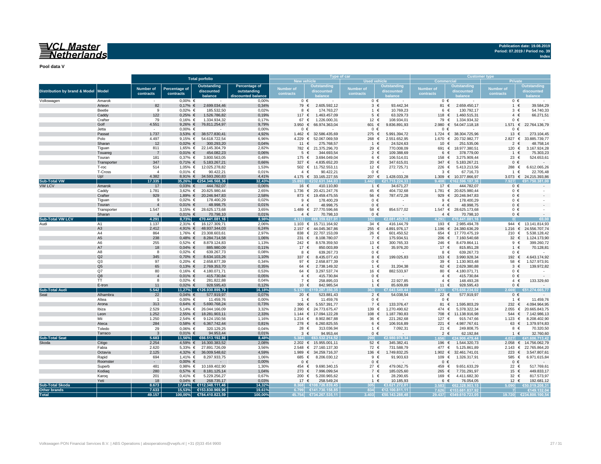# **WARER WASTER**

**Pool data V**

|                                          |                                  |                         |                                   |                                  | <b>Type of car</b>   |                              |                                                       |                          | <b>Customer type</b>            |                                |                                     |                          |                                 |
|------------------------------------------|----------------------------------|-------------------------|-----------------------------------|----------------------------------|----------------------|------------------------------|-------------------------------------------------------|--------------------------|---------------------------------|--------------------------------|-------------------------------------|--------------------------|---------------------------------|
|                                          |                                  |                         |                                   | <b>Total porfolio</b>            |                      |                              | <b>New vehicle</b>                                    | <b>Used vehicle</b>      |                                 | <b>Commercial</b>              |                                     | <b>Private</b>           |                                 |
|                                          |                                  |                         |                                   | <b>Outstanding</b>               | <b>Percentage of</b> |                              | <b>Outstanding</b>                                    |                          | <b>Outstanding</b>              |                                | <b>Outstanding</b>                  |                          | <b>Outstanding</b>              |
| <b>Distribution by brand &amp; Model</b> | <b>Model</b>                     | <b>Number of</b>        | <b>Percentage of</b><br>contracts | discounted                       | outstanding          | <b>Number of</b>             | discounted                                            | <b>Number of</b>         | discounted                      | <b>Number of</b>               | discounted                          | <b>Number of</b>         | discounted                      |
|                                          |                                  | contracts               |                                   | balance                          | discounted balance   | contracts                    | balance                                               | <b>contracts</b>         | balance                         | <b>contracts</b>               | balance                             | <b>contracts</b>         | balance                         |
| Volkswagen                               | Amarok                           | $\sim$ $-$              | $0,00%$ €                         | $\sim$ $-$                       | 0,00%                |                              | $0 \in$                                               | $0 \in$                  | $\sim$ $-$                      | $0 \in$                        | $\sim$ $-$                          | $0 \in$                  |                                 |
|                                          | Arteon                           | 82                      | $0,17%$ €                         | 2.699.034,46                     | 0,34%                | 79 €                         | 2.605.592,12                                          | $3 \in$                  | 93.442,34                       | 81 €                           | 2.659.450,17                        | 1 €                      | 39.584,29                       |
|                                          | Beetle                           | - 9                     | $0,02%$ €                         | 185.532,50                       | 0,02%                | 8                            | 174.763,27                                            | 1 $\in$                  | 10.769,23                       | $6 \in$                        | 130.792,17                          | $3 \in$                  | 54.740,33                       |
|                                          | Caddy                            | 122                     | $0,25%$ €                         | 1.526.786,82                     | 0,19%                | 117 €                        | 1.463.457,09                                          | $5 \in$                  | 63.329,73                       | 118 €                          | 1.460.515,31                        | $4 \in$                  | 66.271,51                       |
|                                          | Crafter<br>Golf                  | 79<br>4.551             | $0,16%$ €<br>9,26% $\in$          | 1.334.934,32<br>76.811.254,97    | 0,17%<br>9,79%       | 67 $\in$<br>3.950 $\epsilon$ | 1.226.000,31<br>66.974.363,04                         | 12 €<br>601 €            | 108.934,01<br>9.836.891,93      | 79 €<br>2.980<br>€             | 1.334.934,32<br>54.047.118,18       | $0 \in$<br>$1.571$ €     | 22.764.136,79                   |
|                                          | Jetta                            | $\sim$                  | $0,00%$ €                         | $\sim$ $-$                       | 0,00%                | $0 \in$                      |                                                       | $0 \in$                  |                                 | $0 \in$                        |                                     | $0 \in$                  |                                 |
|                                          | Passat                           | 1.737                   | $3,53%$ €                         | 38.577.830,41                    | 4,92%                | 1.462                        | 32.586.435,69<br>€                                    | 275 €                    | 5.991.394,72                    | 1.724<br>€                     | 38.304.725,96                       | 13 $\epsilon$            | 273.104,45                      |
|                                          | Polo                             | 4.497                   | $9,15%$ €                         | 54.618.722,54                    | 6,96%                | $4.229$ €                    | 52.067.069,59                                         | 268 €                    | 2.551.652,95                    | 1.670 €                        | 20.732.982,77                       | 2.827                    | 33.885.739,77<br>€              |
|                                          | Sharan                           | 12                      | $0,02%$ €                         | 300.293,20                       | 0,04%                | 11 €                         | 275.768,57                                            | $1 \in$                  | 24.524,63                       | 10 €                           | 251.535,06                          | $2 \in$                  | 48.758,14                       |
|                                          | Tiguan                           | 811                     | $1,65%$ €                         | 22.145.304,79                    | 2,82%                | 782 €                        | 21.375.296,70                                         | 29 €                     | 770.008,09                      | 691<br>€                       | 18.977.380,51                       | 120 €                    | 3.167.924,28                    |
|                                          | Touareg                          | $\overline{7}$          | $0,01\%$ €                        | 454.082,23                       | 0,06%                |                              | $5 \in$<br>344.693,54                                 | 2 $\epsilon$             | 109.388,69                      | $6 \in$                        | 378.779,00                          |                          | €<br>75.303,23                  |
|                                          | Touran                           | 181                     | $0,37%$ €                         | 3.800.563,05                     | 0,48%                | 175 $\epsilon$               | 3.694.049,04                                          | $6 \in$                  | 106.514,01                      | 158                            | 3.275.909,44                        | 23 $\epsilon$            | 524.653,61                      |
|                                          | Transporter                      | 347                     | $0,71\%$ €                        | 5.183.267,21                     | 0,66%                | 327 $\epsilon$               | 4.835.652,20                                          | 20 $\epsilon$            | 347.615,01                      | 347                            | 5.183.267,21                        | $0 \in$                  | $\sim$ $-$                      |
|                                          | T-roc<br>T-Cross                 | 514                     | $1,05%$ €<br>$0,01\%$ €           | 12.025.278,82<br>90.422,21       | 1,53%<br>0,01%       | 502 €                        | 11.752.553,11<br>90.422,21                            | 12 €<br>$0 \in$          | 272.725,71                      | 226<br>$3 \in$                 | 5.413.213,56<br>67.716,73           | 288                      | 6.612.065,26<br>22.705,48       |
|                                          | Up!                              | 4.382                   | $8,91\%$ €                        | 34.593.260,83                    | 4,41%                |                              | 4.175 € 33.165.227,55                                 | 207                      | 1.428.033,28                    | 1.309 $€$                      | 10.377.866,97                       | 3.073                    | € 24.215.393,86                 |
| <b>Sub-Total VW</b>                      |                                  | 17.335                  | 35,26%                            | €254.346.568,36                  | 32,43%               | 15.893                       | €232.631.344,03                                       | 1.442                    | €21.715.224,33                  | 9.408                          | €162.596.187,36                     | 7.927                    | €91.750.381,00                  |
| <b>VW LCV</b>                            | Amarok                           | 17                      | $0,03%$ €                         | 444.782,07                       | 0,06%                |                              | 16 €<br>410.110,80                                    | 1 €                      | 34.671,27                       | 17 $\epsilon$                  | 444.782,07                          | $0 \in$                  | $\sim$ $-$                      |
|                                          | Caddy                            | 1.781                   | $3,62%$ €                         | 20.825.980,44                    | 2,65%                | 1.736 $€$                    | 20.421.247,76                                         | 45 €                     | 404.732,68                      | 1.781<br>€                     | 20.825.980,44                       | $0 \in$                  |                                 |
|                                          | Crafter                          | 929                     | $1,89%$ €                         | 20.246.947,83                    | 2,58%                | 873 €                        | 19.459.475,55                                         | 56 €                     | 787.472,28                      | 929 €                          | 20.246.947,83                       | $0 \in$                  |                                 |
|                                          | Tiguan                           | -9                      | $0,02%$ €                         | 178.400,29                       | 0,02%                |                              | 178.400,29<br>9 €                                     | $0 \in$                  |                                 | $9 \in$                        | 178.400,29                          | $0 \in$                  |                                 |
|                                          | Touran                           | $\overline{4}$          | $0,01\%$ €                        | 48.998,75                        | 0,01%                | $\overline{4}$               | 48.998,75                                             | $0 \in$                  | $\sim$                          | $4 \in$                        | 48.998,75                           | $0 \in$                  | $\sim$                          |
|                                          | Transporter                      | 1.547                   | $3,15%$ €                         | 28.625.173,68                    | 3,65%                | 1.489 €                      | 27.770.596,66                                         | 58 €                     | 854.577,02                      | 1.547                          | 28.625.173,68                       | $0 \in$                  |                                 |
| <b>Sub-Total VW LCV</b>                  | Sharan                           | $\overline{4}$<br>4.291 | $0,01\%$ €<br>8,73%               | 70.798,10<br>€70.441.081,16      | 0,01%<br>8,98%       | 4.131                        | 70.798,10<br>€68.359.627,91                           | $0 \in$<br><b>160</b>    | $\sim$<br>€2.081.453,25         | 4<br>4.291                     | 70.798,10<br>€70.441.081,16         | $0 \in$                  | €0.00                           |
| Audi                                     | A1                               | 1.137                   | $2,31%$ €                         | 16.127.309,71                    | 2,06%                | 1.103 $€$                    | 15.711.164,92                                         | 34 $\epsilon$            | 416.144,79                      | 193<br>€                       | 2.985.494,78                        | 944                      | 13.141.814,93                   |
|                                          | A3                               | 2.412                   | $4,91\%$ €                        | 48.937.344,03                    | 6,24%                |                              | 2.157 € 44.045.367,86                                 | 255 $\epsilon$           | 4.891.976,17                    | 1.196 €                        | 24.380.636,29                       | 1.216                    | 24.556.707,74<br>€              |
|                                          | A4                               | 864                     | 1,76% €                           | 23.308.603,61                    | 2,97%                |                              | 838 € 22.707.153,09                                   | 26 €                     | 601.450,52                      | 654 €                          | 17.770.475,19                       | 210 €                    | 5.538.128,42                    |
|                                          | A5                               | 238                     | $0,48%$ €                         | 8.284.714,58                     | 1,06%                |                              | 231 € 8.108.780,07                                    | $7 \in$                  | 175.934,51                      |                                | 206 € 7.160.540,68                  | 32 $\epsilon$            | 1.124.173,90                    |
|                                          | A6                               | 255                     | $0,52%$ €                         | 8.879.124,83                     | 1,13%                | 242 €                        | 8.578.359,50                                          | 13 $\epsilon$            | 300.765,33                      | 246 €                          | 8.479.864,11                        | 9 €                      | 399.260,72                      |
|                                          | A7                               | 18                      | $0,04\%$ €                        | 885.980,09                       | 0,11%                | 17 $\epsilon$                | 850.003,89                                            | 1 €                      | 35.976,20                       | 17 $\epsilon$                  | 815.851,28                          | 1 $\epsilon$             | 70.128,81                       |
|                                          | A8                               | -8                      | $0,02%$ €                         | 639.267,73                       | 0,08%                |                              | 639.267,73<br>8 €                                     | $0 \in$                  |                                 | 8 €                            | 639.267,73                          | $0 \in$                  |                                 |
|                                          | Q2                               | 345                     | $0,70%$ €                         | 8.634.103,26                     | 1,10%                | 337 $\epsilon$               | 8.435.077,43                                          | $8 \in$                  | 199.025,83                      | 153 $\epsilon$                 | 3.990.928,34                        | 192 €                    | 4.643.174,92                    |
|                                          | Q <sub>3</sub><br>Q <sub>5</sub> | 97<br>65                | $0,20%$ €<br>$0,13%$ €            | 2.658.877,39<br>2.769.353,70     | 0,34%<br>0,35%       |                              | 2.658.877,39<br>97 €<br>2.738.149,32<br>64 $\epsilon$ | $0 \in$<br>$1 \in$       | $\sim$ $ \sim$<br>31.204,38     | 39 $\epsilon$<br>62 $\epsilon$ | 1.130.903,48<br>2.629.380,88        | 58 €<br>$3 \in$          | 1.527.973,91                    |
|                                          | Q7                               | 80                      | $0,16%$ €                         | 4.180.071,71                     | 0,53%                |                              | 3.297.537,74<br>64 €                                  | 16 €                     | 882.533,97                      | 80 €                           | 4.180.071,71                        | $0 \in$                  | 139.972,82                      |
|                                          | Q8                               |                         | $0,01\%$ €                        | 415.730,84                       | 0,05%                |                              | 415.730,84<br>$4 \in$                                 | $0 \in$                  | $\sim 100$ m $^{-1}$            | $4 \in$                        | 415.730,84                          | $0 \in$                  | $\sim 10^{11}$ m $^{-1}$        |
|                                          | <b>TT</b>                        | 8                       | $0,02%$ €                         | 281.822,88                       | 0,04%                |                              | 258.895,03<br>7 €                                     | 1 $\epsilon$             | 22.927,85                       | $4 \in$                        | 148.493,28                          | $4 \in$                  | 133.329,60                      |
|                                          | E-tron                           | 11                      | $0,02%$ €                         | 928.595,43                       | 0,12%                | 10 $\epsilon$                | 842.985,54                                            | $1 \in$                  | 85.609,89                       | 11 $\epsilon$                  | 928.595,43                          | $0 \in$                  | <b>Contract Contract</b>        |
| <b>Sub-Total Audi</b>                    |                                  | 5.542                   |                                   | 11,27% €126.930.899,79           | 16,18%               |                              | $\sqrt{5.179}$ €119.287.350,35                        | 363                      | €7.643.549,44                   | 2.873                          | €75.656.234,02                      | 2.669                    | €51.274.665,77                  |
| Seat                                     | Alhambra                         | 22                      | $0,04\%$ €                        | 577.919,97                       | 0,07%                | 20 $\epsilon$                | 523.881,43                                            | $2 \in$                  | 54.038,54                       | 22 $\epsilon$                  | 577.919,97                          | $0 \in$                  | <b>Contract Contract</b>        |
|                                          | Altea                            |                         | $0,00%$ €                         | 11.459,76                        | 0,00%                |                              | $1 \in$<br>11.459,76                                  | $0 \in$                  |                                 | $0 \in$                        |                                     | $1 \in$                  | 11.459,76                       |
|                                          | Arona                            | 313                     | $0,64\%$ €                        | 5.690.768,24                     | 0,73%                | 306 $\epsilon$               | 5.557.391,77                                          | 7 €                      | 133.376,47                      | 81 $\epsilon$                  | 1.595.803,29                        | 232 $\epsilon$           | 4.094.964,95                    |
|                                          | Ibiza<br>Leon                    | 2.529<br>1.252          | 5,14% €<br>$2,55%$ €              | 26.044.166,09<br>18.281.903,11   | 3,32%<br>2,33%       | 1.144 $∈$                    | 2.390 € 24.773.675,47<br>17.094.122,28                | 139 €<br>108 €           | 1.270.490,62<br>1.187.780,83    | 474 €                          | 5.378.322,34<br>708 € 11.138.916,98 | $2.055 \in$<br>544 €     | 20.665.843,75<br>7.142.986,13   |
|                                          | Mii                              | 1.250                   | $2,54%$ €                         | 9.124.150,56                     | 1,16%                | 1.214 $€$                    | 8.902.867,88                                          | 36 €                     | 221.282,68                      | 127 €                          | 915.747,66                          | 1.123 €                  | 8.208.402,90                    |
|                                          | Ateca                            | 284                     | $0,58%$ €                         | 6.367.742,44                     | 0,81%                | 278 $\epsilon$               | 6.260.825,55                                          | $6 \in$                  | 106.916,89                      | 221 €                          | 4.987.767,61                        | 63 $\epsilon$            | 1.379.974,83                    |
|                                          | Toledo                           | 29                      | $0,06%$ €                         | 320.129,25                       | 0,04%                | 28 €                         | 313.036,94                                            | 1 €                      | 7.092,31                        | 21 $\epsilon$                  | 249.808,75                          | 8 $\epsilon$             | 70.320,50                       |
|                                          | Tarraco                          | $\mathbf{3}$            | $0,01\%$ €                        | 94.953,44                        | 0,01%                |                              | $3 \in$<br>94.953,44                                  | $0 \in$                  | $\sim$ $-$                      | $2 \in$                        | 62.192,84                           | $1 \in$                  | 32.760,60                       |
| <b>Sub-Total Seat</b>                    |                                  | 5.683                   | 11,56%                            | €66.513.192,86                   | 8,48%                | 5.384                        | €63.532.214,52                                        | 299                      | €2.980.978,34                   | 1.656                          | €24.906.479,44                      | 4.027                    | €41.606.713,42                  |
| Skoda                                    | Citigo                           | 2.254                   | $4,59%$ €                         | 16.300.383,52                    | 2,08%                |                              | 2.202 € 15.955.001,11                                 | 52 $\epsilon$            | 345.382,41                      | 196 €                          | 1.544.320,73                        |                          | 2.058 € 14.756.062,79           |
|                                          | Fabia                            | 2.620                   |                                   | 5,33% € 27.891.726,09            | 3,56%                |                              | 2.548 € 27.160.137,30                                 | 72 €                     | 731.588,79                      | 477 €                          | 5.125.861,89                        |                          | 2.143 € 22.765.864,20           |
|                                          | Octavia                          | 2.125                   |                                   | $4,32\%$ € 36.009.548,62         | 4,59%                |                              | 1.989 € 34.259.716,37                                 | 136 €                    | 1.749.832,25                    | 1.902 $∈$                      | 32.461.741,01                       | 223 €                    | 3.547.807,61                    |
|                                          | Rapid                            | 694                     | 1,41% €                           | 8.297.933,75                     | 1,06%                |                              | 8.206.030,12<br>685 €                                 | 9 €                      | 91.903,63                       | 109 €                          | 1.326.317,91                        | 585 €                    | 6.971.615,84                    |
|                                          | Roomster<br>Superb               | $\sim 100$<br>481       | $0,00%$ €<br>$0,98%$ €            | $\sim 10^{-11}$<br>10.169.402,90 | 0,00%<br>1,30%       | 454 €                        | $0 \in$<br>$\sim$ $-$<br>9.690.340,15                 | $0 \in$<br>27 $\epsilon$ | <b>Contractor</b><br>479.062,75 | $0 \in$<br>459 €               | <b>Contract</b><br>9.651.633,29     | $0 \in$<br>22 $\epsilon$ | <b>Contractor</b><br>517.769,61 |
|                                          | Kodiaq                           | 280                     | $0,57%$ €                         | 8.181.125,14                     | 1,04%                |                              | $273 \epsilon$<br>7.996.099,54                        | 7 $\epsilon$             | 185.025,60                      | 265 €                          | 7.731.291,97                        | 15 $\epsilon$            | 449.833,17                      |
|                                          | Karoq                            | 201                     | $0,41\%$ €                        | 5.229.256,27                     | 0,67%                |                              | 200 €<br>5.200.965,62                                 | $1 \in$                  | 28.290,65                       | 169 €                          | 4.411.682,30                        | 32 $\epsilon$            | 817.573,97                      |
|                                          | Yeti                             | 18                      | $0,04\%$ €                        | 268.735,17                       | 0,03%                |                              | 17 $∈$<br>258.549,24                                  | $1 \in$                  | 10.185,93                       | $6 \in$                        | 76.054,05                           | 12 $\epsilon$            | 192.681,12                      |
| <b>Sub-Total Skoda</b>                   |                                  | 8.673                   |                                   | 17,64% €112.348.111,46           | 14,32%               |                              | $8.368$ €108.726.839,45                               | 305                      | 63.621.272,01                   | 3.583                          | 62.328.903,15                       | 5.090                    | €50.019.208,31                  |
| Other brands                             |                                  | 7.633                   |                                   | 15,53% €153.830.969,96           | 19,61%               |                              | $6.799$ €141.730.158,85                               | 834                      | €12.100.811,11                  |                                | $7.626$ €153.681.837,92             |                          | €149.132,04                     |
| <b>Total</b>                             |                                  | 49.157                  |                                   | 100,00% €784.410.823,59          | 100,00%              |                              | 45.754 €734.267.535,11                                | 3.403                    | €50.143.288,48                  |                                | 29.437 €549.610.723,05              |                          | 19.720 €234.800.100,54          |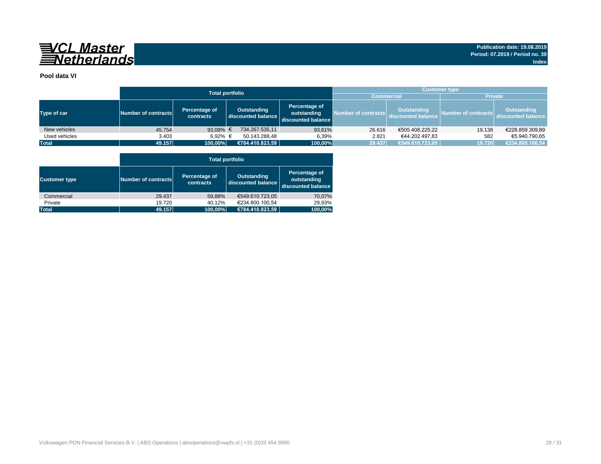![](_page_27_Picture_0.jpeg)

#### **Pool data VI**

|               |                     | <b>Total portfolio</b>     |                                          |                                                    | <b>Customer type</b> |                                          |                     |                                          |  |  |
|---------------|---------------------|----------------------------|------------------------------------------|----------------------------------------------------|----------------------|------------------------------------------|---------------------|------------------------------------------|--|--|
|               |                     |                            |                                          | <b>Commercial</b>                                  | <b>Private</b>       |                                          |                     |                                          |  |  |
| Type of car   | Number of contracts | Percentage of<br>contracts | <b>Outstanding</b><br>discounted balance | Percentage of<br>outstanding<br>discounted balance | Number of contracts  | <b>Outstanding</b><br>discounted balance | Number of contracts | <b>Outstanding</b><br>discounted balance |  |  |
| New vehicles  | 45.754              | 93,08% $\in$               | 734.267.535,11                           | 93,61%                                             | 26.616               | €505.408.225,22                          | 19.138              | €228.859.309,89                          |  |  |
| Used vehicles | 3.403               | 6,92% €                    | 50.143.288.48                            | 6,39%                                              | 2.821                | €44.202.497,83                           | 582                 | €5.940.790,65                            |  |  |
| <b>Total</b>  | 49.157              | 100,00%                    | €784.410.823,59                          | 100,00%                                            | 29.437               | €549.610.723,05                          | 19.720              | €234.800.100,54                          |  |  |

![](_page_27_Figure_7.jpeg)

|                      | <b>Total portfolio</b> |                                   |                                          |                                                    |  |  |  |  |  |  |  |
|----------------------|------------------------|-----------------------------------|------------------------------------------|----------------------------------------------------|--|--|--|--|--|--|--|
| <b>Customer type</b> | Number of contracts    | Percentage of<br><b>contracts</b> | <b>Outstanding</b><br>discounted balance | Percentage of<br>outstanding<br>discounted balance |  |  |  |  |  |  |  |
| Commercial           | 29.437                 | 59,88%                            | €549.610.723,05                          | 70,07%                                             |  |  |  |  |  |  |  |
| Private              | 19.720                 | 40,12%                            | €234.800.100,54                          | 29,93%                                             |  |  |  |  |  |  |  |
| <b>Total</b>         | 49.157                 | 100,00%                           | €784.410.823,59                          | 100,00%                                            |  |  |  |  |  |  |  |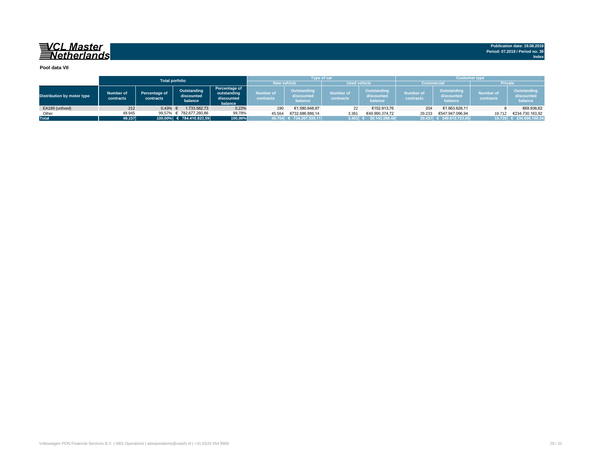![](_page_28_Picture_0.jpeg)

**Pool data VII**

|                                   | <b>Total porfolio</b>  |                            |                                      |                                                              |                               | Type of car                                 |                                      |                                             | <b>Customer type</b>          |                                             |                               |                                             |
|-----------------------------------|------------------------|----------------------------|--------------------------------------|--------------------------------------------------------------|-------------------------------|---------------------------------------------|--------------------------------------|---------------------------------------------|-------------------------------|---------------------------------------------|-------------------------------|---------------------------------------------|
|                                   |                        |                            |                                      |                                                              |                               | <b>New vehicle</b>                          |                                      | <b>Used vehicle</b>                         |                               | <b>Commercial</b>                           | <b>Private</b>                |                                             |
| <b>Distribution by motor type</b> | Number of<br>contracts | Percentage of<br>contracts | Outstanding<br>discounted<br>balance | <b>Percentage of</b><br>outstanding<br>discounted<br>balance | Number of<br><b>contracts</b> | <b>Outstanding</b><br>discounted<br>balance | <b>Number of</b><br><b>contracts</b> | <b>Outstanding</b><br>discounted<br>balance | <b>Number of</b><br>contracts | <b>Outstanding</b><br>discounted<br>balance | <b>Number of</b><br>contracts | <b>Outstanding</b><br>discounted<br>balance |
| EA189 (unfixed)                   | 212                    | 0,43%                      | 1.733.562,73                         | 0,22%                                                        | 190                           | €1.580.648,97                               | 22 <sub>1</sub>                      | €152.913,76                                 | 204                           | €1.663.626,11                               |                               | €69.936,62                                  |
| Other                             | 48.945                 | 99,57%                     | € 782.677.260,86                     | 99,78%                                                       | 45.564                        | €732.686.886,14                             | 3.381                                | €49.990.374,72                              | 29.233                        | €547.947.096,94                             | 19.712                        | €234.730.163,92                             |
| <b>Total</b>                      | 49.157                 |                            | $100,00\%$ € 784.410.823,59          | 100,00%                                                      |                               | 45.754 $\in$ 734.267.535,11                 | $3.403$ :                            | $E = 50.143.288,48$                         |                               | 29.437 € 549.610.723,05                     |                               | 19.720 € 234.800.100,54                     |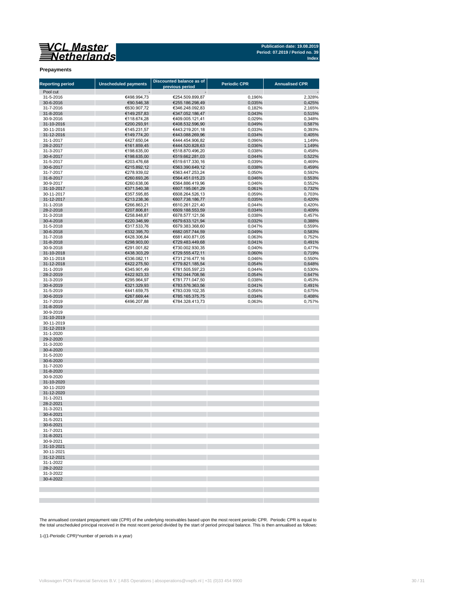![](_page_29_Picture_0.jpeg)

### **Prepayments**

| <b>Reporting period</b>  | <b>Unscheduled payments</b> | <b>Discounted balance as of</b><br>previous period | <b>Periodic CPR</b> | <b>Annualised CPR</b> |
|--------------------------|-----------------------------|----------------------------------------------------|---------------------|-----------------------|
| Pool cut                 |                             |                                                    |                     |                       |
| 31-5-2016                | €498.994,73                 | €254.509.899,87                                    | 0,196%              | 2,328%                |
| 30-6-2016                | €90.546,38                  | €255.186.298,49                                    | 0,035%              | 0,425%                |
| 31-7-2016                | €630.907,72                 | €346.248.092,83                                    | 0,182%              | 2,165%                |
| 31-8-2016                | €149.257,83                 | €347.052.186,47                                    | 0,043%              | 0,515%                |
| 30-9-2016                | €118.674,28                 | €409.005.121,41                                    | 0,029%              | 0,348%                |
| 31-10-2016<br>30-11-2016 | €200.293,91<br>€145.231,57  | €408.532.596,90<br>€443.219.201,18                 | 0,049%<br>0,033%    | 0,587%<br>0,393%      |
| 31-12-2016               | €149.774,20                 | €443.088.269,96                                    | 0,034%              | 0,405%                |
| 31-1-2017                | €427.650,04                 | €444.454.906,82                                    | 0,096%              | 1,149%                |
| 28-2-2017                | €161.859,45                 | €444.520.828,63                                    | 0,036%              | 1,149%                |
| 31-3-2017                | €198.635,00                 | €518.870.496,20                                    | 0,038%              | 0,458%                |
| 30-4-2017                | €198.635,00                 | €519.662.281,03                                    | 0,044%              | 0,522%                |
| 31-5-2017                | €203.476,68                 | €519.617.330,16                                    | 0,039%              | 0,469%                |
| 30-6-2017                | €215.892,12                 | €563.390.649,12                                    | 0,038%              | 0,459%                |
| 31-7-2017<br>31-8-2017   | €278.939,02<br>€260.693,26  | €563.447.253,24<br>€564.451.015,23                 | 0,050%<br>0,046%    | 0,592%<br>0,553%      |
| 30-9-2017                | €260.638,06                 | €564.886.419,96                                    | 0,046%              | 0,552%                |
| 31-10-2017               | €371.540,38                 | €607.195.061,29                                    | 0,061%              | 0,732%                |
| 30-11-2017               | €357.595,85                 | €608.264.526,13                                    | 0,059%              | 0,703%                |
| 31-12-2017               | €213.238,36                 | €607.738.186,77                                    | 0,035%              | 0,420%                |
| 31-1-2018                | €266.863,21                 | €610.261.221,40                                    | 0,044%              | 0,420%                |
| 28-2-2018                | €207.806,81                 | €609.188.553,59                                    | 0,034%              | 0,409%                |
| 31-3-2018                | €258.848,87                 | €678.577.121,56                                    | 0,038%              | 0,457%                |
| 30-4-2018<br>31-5-2018   | €220.346,99<br>€317.533,76  | €679.633.121,94<br>€679.383.368,60                 | 0,032%<br>0,047%    | 0,388%<br>0,559%      |
| 30-6-2018                | €332.395,70                 | €682.057.744,59                                    | 0,049%              | 0,583%                |
| 31-7-2018                | €428.306,84                 | €681.400.871,05                                    | 0,063%              | 0,752%                |
| 31-8-2018                | €298.903,00                 | €729.483.449,68                                    | 0,041%              | 0,491%                |
| 30-9-2018                | €291.001,82                 | €730.002.930,35                                    | 0,040%              | 0,477%                |
| 31-10-2018               | €438.303,29                 | €729.555.472,11                                    | 0,060%              | 0,719%                |
| 30-11-2018               | €336.082,11                 | €731.216.477,16                                    | 0,046%              | 0,550%                |
| 31-12-2018               | €422.275,50                 | €779.821.185,54                                    | 0,054%              | 0,648%                |
| 31-1-2019                | €345.901,49                 | €781.505.597,23<br>€782.044.708,56                 | 0,044%              | 0,530%                |
| 28-2-2019<br>31-3-2019   | €422.923,33<br>€295.964,97  | €781.771.047,50                                    | 0,054%<br>0,038%    | 0,647%<br>0,453%      |
| 30-4-2019                | €321.329,93                 | €783.576.363,56                                    | 0,041%              | 0,491%                |
| 31-5-2019                | €441.659,75                 | €783.039.102,35                                    | 0,056%              | 0,675%                |
| 30-6-2019                | €267.669,44                 | €785.165.375,75                                    | 0.034%              | 0,408%                |
| 31-7-2019                | €496.207,88                 | €784.328.413,73                                    | 0,063%              | 0,757%                |
| 31-8-2019                |                             |                                                    |                     |                       |
| 30-9-2019                |                             |                                                    |                     |                       |
| 31-10-2019<br>30-11-2019 |                             |                                                    |                     |                       |
| 31-12-2019               |                             |                                                    |                     |                       |
| 31-1-2020                |                             |                                                    |                     |                       |
| 29-2-2020                |                             |                                                    |                     |                       |
| 31-3-2020                |                             |                                                    |                     |                       |
| 30-4-2020                |                             |                                                    |                     |                       |
| 31-5-2020                |                             |                                                    |                     |                       |
| 30-6-2020                |                             |                                                    |                     |                       |
| 31-7-2020<br>31-8-2020   |                             |                                                    |                     |                       |
| 30-9-2020                |                             |                                                    |                     |                       |
| 31-10-2020               |                             |                                                    |                     |                       |
| 30-11-2020               |                             |                                                    |                     |                       |
| 31-12-2020               |                             |                                                    |                     |                       |
| 31-1-2021                |                             |                                                    |                     |                       |
| 28-2-2021                |                             |                                                    |                     |                       |
| 31-3-2021                |                             |                                                    |                     |                       |
| 30-4-2021<br>31-5-2021   |                             |                                                    |                     |                       |
| 30-6-2021                |                             |                                                    |                     |                       |
| 31-7-2021                |                             |                                                    |                     |                       |
| 31-8-2021                |                             |                                                    |                     |                       |
| 30-9-2021                |                             |                                                    |                     |                       |
| 31-10-2021               |                             |                                                    |                     |                       |
| 30-11-2021               |                             |                                                    |                     |                       |
| 31-12-2021               |                             |                                                    |                     |                       |
| 31-1-2022                |                             |                                                    |                     |                       |
| 28-2-2022<br>31-3-2022   |                             |                                                    |                     |                       |
| 30-4-2022                |                             |                                                    |                     |                       |
|                          |                             |                                                    |                     |                       |
|                          |                             |                                                    |                     |                       |
|                          |                             |                                                    |                     |                       |
|                          |                             |                                                    |                     |                       |

The annualised constant prepayment rate (CPR) of the underlying receivables based upon the most recent periodic CPR. Periodic CPR is equal to the total unscheduled principal received in the most recent period divided by the start of period principal balance. This is then annualised as follows:

1-((1-Periodic CPR)^number of periods in a year)